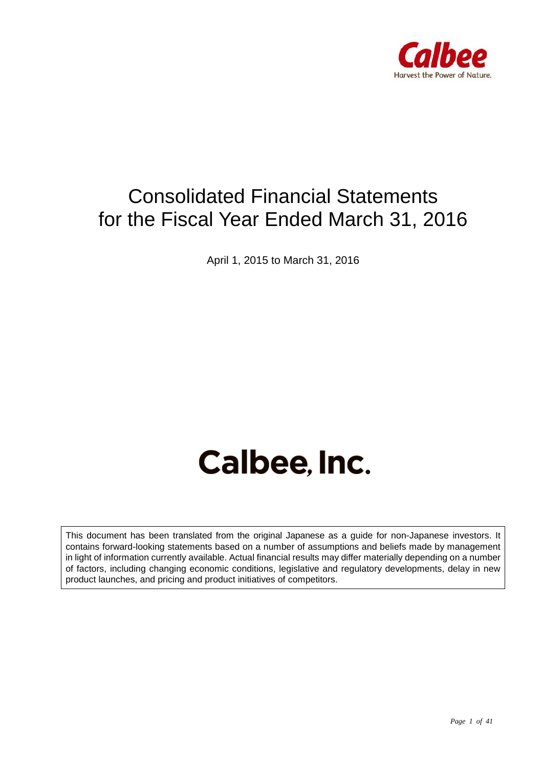

# Consolidated Financial Statements for the Fiscal Year Ended March 31, 2016

April 1, 2015 to March 31, 2016

# Calbee, Inc.

This document has been translated from the original Japanese as a guide for non-Japanese investors. It contains forward-looking statements based on a number of assumptions and beliefs made by management in light of information currently available. Actual financial results may differ materially depending on a number of factors, including changing economic conditions, legislative and regulatory developments, delay in new product launches, and pricing and product initiatives of competitors.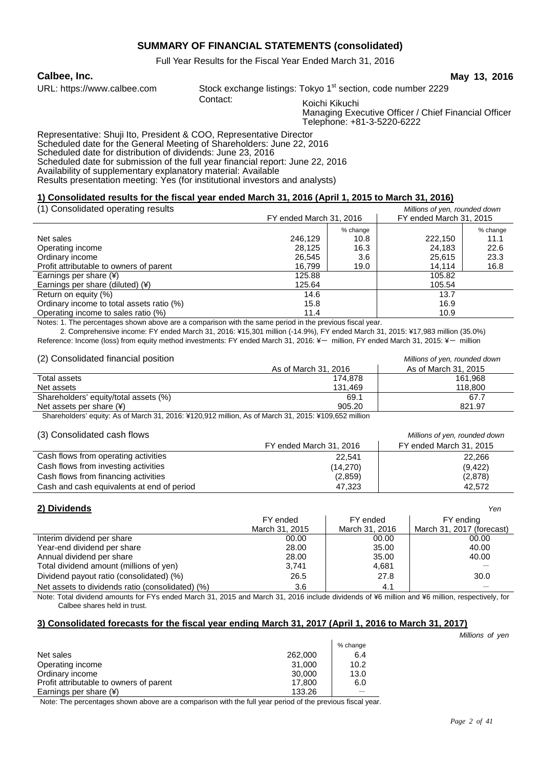## **SUMMARY OF FINANCIAL STATEMENTS (consolidated)**

Full Year Results for the Fiscal Year Ended March 31, 2016

**Calbee, Inc. May 13, 2016**

URL: https://www.calbee.com Stock exchange listings: Tokyo 1<sup>st</sup> section, code number 2229<br>Contact: State in Equational Stock of the section of the section

Koichi Kikuchi Managing Executive Officer / Chief Financial Officer Telephone: +81-3-5220-6222

Representative: Shuji Ito, President & COO, Representative Director Scheduled date for the General Meeting of Shareholders: June 22, 2016 Scheduled date for distribution of dividends: June 23, 2016 Scheduled date for submission of the full year financial report: June 22, 2016 Availability of supplementary explanatory material: Available Results presentation meeting: Yes (for institutional investors and analysts)

#### **1) Consolidated results for the fiscal year ended March 31, 2016 (April 1, 2015 to March 31, 2016)**

| (1) Consolidated operating results        |                         |      | Millions of yen, rounded down |          |
|-------------------------------------------|-------------------------|------|-------------------------------|----------|
|                                           | FY ended March 31, 2016 |      | FY ended March 31, 2015       |          |
|                                           | % change                |      |                               | % change |
| Net sales                                 | 246.129                 | 10.8 | 222,150                       | 11.1     |
| Operating income                          | 28.125                  | 16.3 | 24.183                        | 22.6     |
| Ordinary income                           | 26,545                  | 3.6  | 25,615                        | 23.3     |
| Profit attributable to owners of parent   | 16.799                  | 19.0 | 14.114                        | 16.8     |
| Earnings per share $(*)$                  | 125.88                  |      | 105.82                        |          |
| Earnings per share (diluted) $(*)$        | 125.64                  |      | 105.54                        |          |
| Return on equity (%)                      | 14.6                    |      | 13.7                          |          |
| Ordinary income to total assets ratio (%) | 15.8                    |      | 16.9                          |          |
| Operating income to sales ratio (%)       | 11.4                    |      | 10.9                          |          |

Notes: 1. The percentages shown above are a comparison with the same period in the previous fiscal year.

 2. Comprehensive income: FY ended March 31, 2016: ¥15,301 million (-14.9%), FY ended March 31, 2015: ¥17,983 million (35.0%) Reference: Income (loss) from equity method investments: FY ended March 31, 2016: ¥- million, FY ended March 31, 2015: ¥- million

| (2) Consolidated financial position   |                      | Millions of yen, rounded down |
|---------------------------------------|----------------------|-------------------------------|
|                                       | As of March 31, 2016 | As of March 31, 2015          |
| Total assets                          | 174.878              | 161.968                       |
| Net assets                            | 131.469              | 118,800                       |
| Shareholders' equity/total assets (%) | 69.1                 | 67.7                          |
| Net assets per share $(*)$            | 905.20               | 821.97                        |
|                                       |                      |                               |

Shareholders' equity: As of March 31, 2016: ¥120,912 million, As of March 31, 2015: ¥109,652 million

#### (3) Consolidated cash flows *Millions of yen, rounded down*

|                                            | FY ended March 31, 2016 | FY ended March 31, 2015 |  |
|--------------------------------------------|-------------------------|-------------------------|--|
| Cash flows from operating activities       | 22.541                  | 22.266                  |  |
| Cash flows from investing activities       | (14, 270)               | (9, 422)                |  |
| Cash flows from financing activities       | (2,859)                 | (2,878)                 |  |
| Cash and cash equivalents at end of period | 47.323                  | 42.572                  |  |

| 2) Dividends                                     |                |                | Yen                       |
|--------------------------------------------------|----------------|----------------|---------------------------|
|                                                  | FY ended       | FY ended       | FY ending                 |
|                                                  | March 31, 2015 | March 31, 2016 | March 31, 2017 (forecast) |
| Interim dividend per share                       | 00.00          | 00.00          | 00.00                     |
| Year-end dividend per share                      | 28.00          | 35.00          | 40.00                     |
| Annual dividend per share                        | 28.00          | 35.00          | 40.00                     |
| Total dividend amount (millions of yen)          | 3,741          | 4,681          |                           |
| Dividend payout ratio (consolidated) (%)         | 26.5           | 27.8           | 30.0                      |
| Net assets to dividends ratio (consolidated) (%) | 3.6            | 4.1            |                           |

Note: Total dividend amounts for FYs ended March 31, 2015 and March 31, 2016 include dividends of ¥6 million and ¥6 million, respectively, for Calbee shares held in trust.

#### **3) Consolidated forecasts for the fiscal year ending March 31, 2017 (April 1, 2016 to March 31, 2017)**

% change Net sales 262,000  $\vert$  6.4 Operating income 31,000 10.2<br>Ordinary income 30,000 13.0 Ordinary income 30,000 13.0<br>Profit attributable to owners of parent 17,800 17,800 6.0 Profit attributable to owners of parent Earnings per share (¥) 133.26

Note: The percentages shown above are a comparison with the full year period of the previous fiscal year.

 *Millions of yen*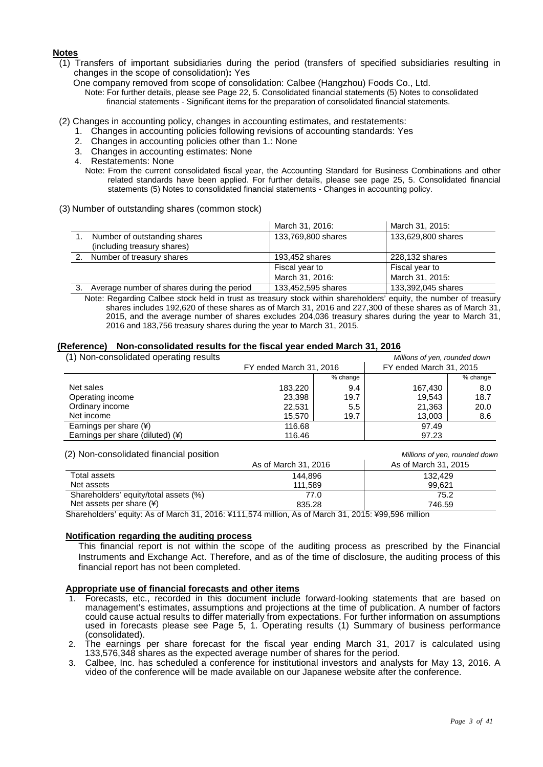#### **Notes**

(1) Transfers of important subsidiaries during the period (transfers of specified subsidiaries resulting in changes in the scope of consolidation)**:** Yes

One company removed from scope of consolidation: Calbee (Hangzhou) Foods Co., Ltd.

Note: For further details, please see Page 22, 5. Consolidated financial statements (5) Notes to consolidated financial statements - Significant items for the preparation of consolidated financial statements.

- (2) Changes in accounting policy, changes in accounting estimates, and restatements:
	- 1. Changes in accounting policies following revisions of accounting standards: Yes
	- 2. Changes in accounting policies other than 1.: None
	- 3. Changes in accounting estimates: None
	- 4. Restatements: None
		- Note: From the current consolidated fiscal year, the Accounting Standard for Business Combinations and other related standards have been applied. For further details, please see page 25, 5. Consolidated financial statements (5) Notes to consolidated financial statements - Changes in accounting policy.
- (3) Number of outstanding shares (common stock)

|                                                             | March 31, 2016:    | March 31, 2015:    |
|-------------------------------------------------------------|--------------------|--------------------|
| Number of outstanding shares<br>(including treasury shares) | 133,769,800 shares | 133,629,800 shares |
|                                                             |                    |                    |
| Number of treasury shares                                   | 193,452 shares     | 228,132 shares     |
|                                                             | Fiscal year to     | Fiscal year to     |
|                                                             | March 31, 2016:    | March 31, 2015:    |
| Average number of shares during the period                  | 133,452,595 shares | 133,392,045 shares |

Note: Regarding Calbee stock held in trust as treasury stock within shareholders' equity, the number of treasury shares includes 192,620 of these shares as of March 31, 2016 and 227,300 of these shares as of March 31, 2015, and the average number of shares excludes 204,036 treasury shares during the year to March 31, 2016 and 183,756 treasury shares during the year to March 31, 2015.

#### **(Reference) Non-consolidated results for the fiscal year ended March 31, 2016**

| (1) Non-consolidated operating results |                         |          | Millions of yen, rounded down |          |
|----------------------------------------|-------------------------|----------|-------------------------------|----------|
|                                        | FY ended March 31, 2016 |          | FY ended March 31, 2015       |          |
|                                        |                         | % change |                               | % change |
| Net sales                              | 183,220                 | 9.4      | 167,430                       | 8.0      |
| Operating income                       | 23,398                  | 19.7     | 19.543                        | 18.7     |
| Ordinary income                        | 22,531                  | 5.5      | 21,363                        | 20.0     |
| Net income                             | 15,570                  | 19.7     | 13,003                        | 8.6      |
| Earnings per share (¥)                 | 116.68                  |          | 97.49                         |          |
| Earnings per share (diluted) (¥)       | 116.46                  |          | 97.23                         |          |

| (2) Non-consolidated financial position |                      | Millions of yen, rounded down |  |  |
|-----------------------------------------|----------------------|-------------------------------|--|--|
|                                         | As of March 31, 2016 | As of March 31, 2015          |  |  |
| Total assets                            | 144.896              | 132.429                       |  |  |
| Net assets                              | 111.589              | 99.621                        |  |  |
| Shareholders' equity/total assets (%)   | 77.0                 | 75.2                          |  |  |
| Net assets per share $(*)$              | 835.28               | 746.59                        |  |  |

Shareholders' equity: As of March 31, 2016: ¥111,574 million, As of March 31, 2015: ¥99,596 million

#### **Notification regarding the auditing process**

This financial report is not within the scope of the auditing process as prescribed by the Financial Instruments and Exchange Act. Therefore, and as of the time of disclosure, the auditing process of this financial report has not been completed.

#### **Appropriate use of financial forecasts and other items**

- 1. Forecasts, etc., recorded in this document include forward-looking statements that are based on management's estimates, assumptions and projections at the time of publication. A number of factors could cause actual results to differ materially from expectations. For further information on assumptions used in forecasts please see Page 5, 1. Operating results (1) Summary of business performance (consolidated).
- 2. The earnings per share forecast for the fiscal year ending March 31, 2017 is calculated using 133,576,348 shares as the expected average number of shares for the period.
- 3. Calbee, Inc. has scheduled a conference for institutional investors and analysts for May 13, 2016. A video of the conference will be made available on our Japanese website after the conference.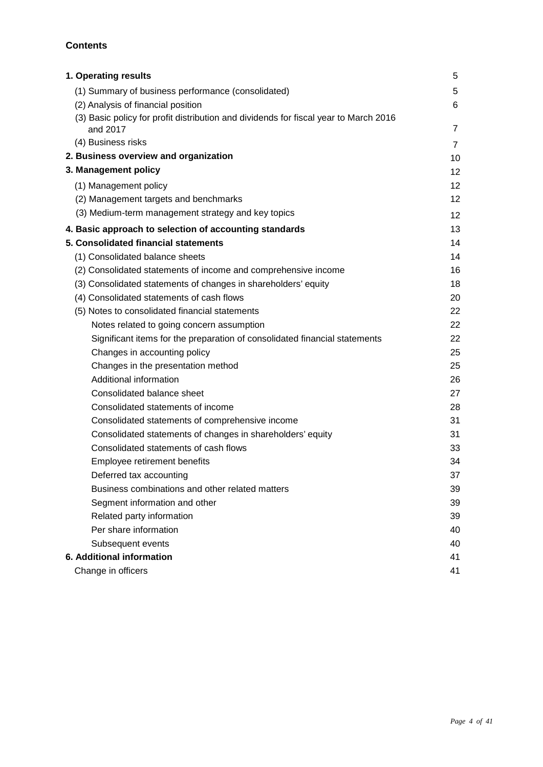## **Contents**

| 1. Operating results                                                                 | 5               |
|--------------------------------------------------------------------------------------|-----------------|
| (1) Summary of business performance (consolidated)                                   | $5\phantom{.0}$ |
| (2) Analysis of financial position                                                   | 6               |
| (3) Basic policy for profit distribution and dividends for fiscal year to March 2016 |                 |
| and 2017                                                                             | $\overline{7}$  |
| (4) Business risks                                                                   | $\overline{7}$  |
| 2. Business overview and organization                                                | 10              |
| 3. Management policy                                                                 | 12              |
| (1) Management policy                                                                | 12 <sup>°</sup> |
| (2) Management targets and benchmarks                                                | 12 <sub>2</sub> |
| (3) Medium-term management strategy and key topics                                   | 12              |
| 4. Basic approach to selection of accounting standards                               | 13              |
| 5. Consolidated financial statements                                                 | 14              |
| (1) Consolidated balance sheets                                                      | 14              |
| (2) Consolidated statements of income and comprehensive income                       | 16              |
| (3) Consolidated statements of changes in shareholders' equity                       | 18              |
| (4) Consolidated statements of cash flows                                            | 20              |
| (5) Notes to consolidated financial statements                                       | 22              |
| Notes related to going concern assumption                                            | 22              |
| Significant items for the preparation of consolidated financial statements           | 22              |
| Changes in accounting policy                                                         | 25              |
| Changes in the presentation method                                                   | 25              |
| Additional information                                                               | 26              |
| Consolidated balance sheet                                                           | 27              |
| Consolidated statements of income                                                    | 28              |
| Consolidated statements of comprehensive income                                      | 31              |
| Consolidated statements of changes in shareholders' equity                           | 31              |
| Consolidated statements of cash flows                                                | 33              |
| Employee retirement benefits                                                         | 34              |
| Deferred tax accounting                                                              | 37              |
| Business combinations and other related matters                                      | 39              |
| Segment information and other                                                        | 39              |
| Related party information                                                            | 39              |
| Per share information                                                                | 40              |
| Subsequent events                                                                    | 40              |
| 6. Additional information                                                            | 41              |
| Change in officers                                                                   | 41              |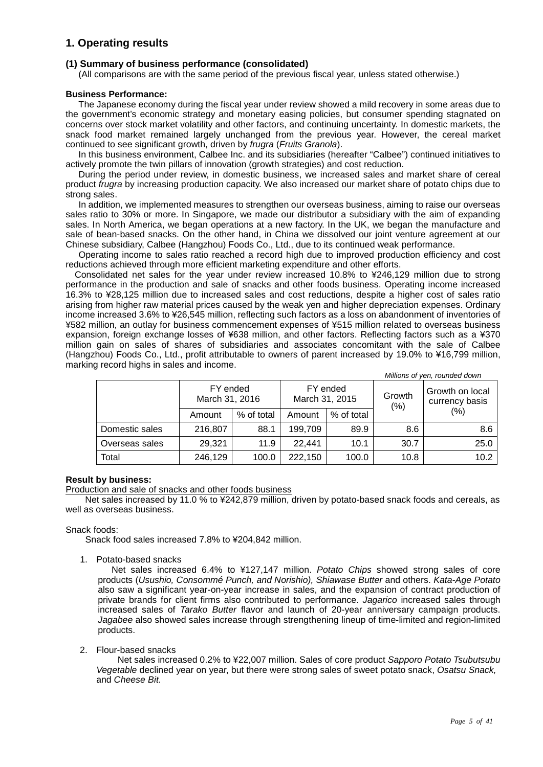## **1. Operating results**

#### **(1) Summary of business performance (consolidated)**

(All comparisons are with the same period of the previous fiscal year, unless stated otherwise.)

#### **Business Performance:**

The Japanese economy during the fiscal year under review showed a mild recovery in some areas due to the government's economic strategy and monetary easing policies, but consumer spending stagnated on concerns over stock market volatility and other factors, and continuing uncertainty. In domestic markets, the snack food market remained largely unchanged from the previous year. However, the cereal market continued to see significant growth, driven by *frugra* (*Fruits Granola*).

In this business environment, Calbee Inc. and its subsidiaries (hereafter "Calbee") continued initiatives to actively promote the twin pillars of innovation (growth strategies) and cost reduction.

During the period under review, in domestic business, we increased sales and market share of cereal product *frugra* by increasing production capacity. We also increased our market share of potato chips due to strong sales.

In addition, we implemented measures to strengthen our overseas business, aiming to raise our overseas sales ratio to 30% or more. In Singapore, we made our distributor a subsidiary with the aim of expanding sales. In North America, we began operations at a new factory. In the UK, we began the manufacture and sale of bean-based snacks. On the other hand, in China we dissolved our joint venture agreement at our Chinese subsidiary, Calbee (Hangzhou) Foods Co., Ltd., due to its continued weak performance.

Operating income to sales ratio reached a record high due to improved production efficiency and cost reductions achieved through more efficient marketing expenditure and other efforts.

Consolidated net sales for the year under review increased 10.8% to ¥246,129 million due to strong performance in the production and sale of snacks and other foods business. Operating income increased 16.3% to ¥28,125 million due to increased sales and cost reductions, despite a higher cost of sales ratio arising from higher raw material prices caused by the weak yen and higher depreciation expenses. Ordinary income increased 3.6% to ¥26,545 million, reflecting such factors as a loss on abandonment of inventories of ¥582 million, an outlay for business commencement expenses of ¥515 million related to overseas business expansion, foreign exchange losses of ¥638 million, and other factors. Reflecting factors such as a ¥370 million gain on sales of shares of subsidiaries and associates concomitant with the sale of Calbee (Hangzhou) Foods Co., Ltd., profit attributable to owners of parent increased by 19.0% to ¥16,799 million, marking record highs in sales and income.

| Millions of yen, rounded down |                            |            |                                      |            |      |                                   |
|-------------------------------|----------------------------|------------|--------------------------------------|------------|------|-----------------------------------|
|                               | FY ended<br>March 31, 2016 |            | FY ended<br>Growth<br>March 31, 2015 |            | (% ) | Growth on local<br>currency basis |
|                               | Amount                     | % of total | Amount                               | % of total |      | (%)                               |
| Domestic sales                | 216,807                    | 88.1       | 199,709                              | 89.9       | 8.6  | 8.6                               |
| Overseas sales                | 29,321                     | 11.9       | 22.441                               | 10.1       | 30.7 | 25.0                              |
| Total                         | 246,129                    | 100.0      | 222,150                              | 100.0      | 10.8 | 10.2                              |

#### **Result by business:**

#### Production and sale of snacks and other foods business

Net sales increased by 11.0 % to ¥242,879 million, driven by potato-based snack foods and cereals, as well as overseas business.

#### Snack foods:

Snack food sales increased 7.8% to ¥204,842 million.

1. Potato-based snacks

Net sales increased 6.4% to ¥127,147 million. *Potato Chips* showed strong sales of core products (*Usushio, Consommé Punch, and Norishio), Shiawase Butter* and others. *Kata-Age Potato* also saw a significant year-on-year increase in sales, and the expansion of contract production of private brands for client firms also contributed to performance. *Jagarico* increased sales through increased sales of *Tarako Butter* flavor and launch of 20-year anniversary campaign products. *Jagabee* also showed sales increase through strengthening lineup of time-limited and region-limited products.

2. Flour-based snacks

Net sales increased 0.2% to ¥22,007 million. Sales of core product *Sapporo Potato Tsubutsubu Vegetable* declined year on year, but there were strong sales of sweet potato snack, *Osatsu Snack,* and *Cheese Bit.*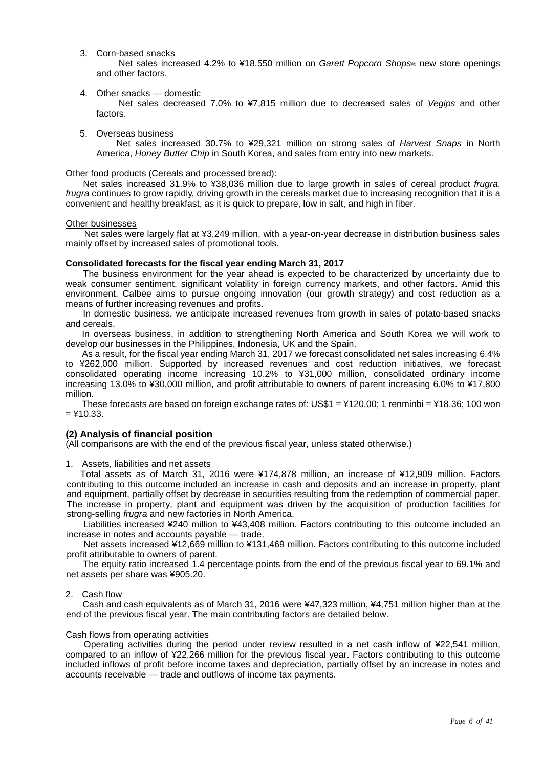3. Corn-based snacks

Net sales increased 4.2% to ¥18,550 million on *Garett Popcorn Shops®* new store openings and other factors.

4. Other snacks — domestic

Net sales decreased 7.0% to ¥7,815 million due to decreased sales of *Vegips* and other factors.

5. Overseas business

Net sales increased 30.7% to ¥29,321 million on strong sales of *Harvest Snaps* in North America, *Honey Butter Chip* in South Korea, and sales from entry into new markets.

Other food products (Cereals and processed bread):

Net sales increased 31.9% to ¥38,036 million due to large growth in sales of cereal product *frugra*. *frugra* continues to grow rapidly, driving growth in the cereals market due to increasing recognition that it is a convenient and healthy breakfast, as it is quick to prepare, low in salt, and high in fiber.

#### Other businesses

Net sales were largely flat at ¥3,249 million, with a year-on-year decrease in distribution business sales mainly offset by increased sales of promotional tools.

#### **Consolidated forecasts for the fiscal year ending March 31, 2017**

The business environment for the year ahead is expected to be characterized by uncertainty due to weak consumer sentiment, significant volatility in foreign currency markets, and other factors. Amid this environment, Calbee aims to pursue ongoing innovation (our growth strategy) and cost reduction as a means of further increasing revenues and profits.

In domestic business, we anticipate increased revenues from growth in sales of potato-based snacks and cereals.

In overseas business, in addition to strengthening North America and South Korea we will work to develop our businesses in the Philippines, Indonesia, UK and the Spain.

As a result, for the fiscal year ending March 31, 2017 we forecast consolidated net sales increasing 6.4% to ¥262,000 million. Supported by increased revenues and cost reduction initiatives, we forecast consolidated operating income increasing 10.2% to ¥31,000 million, consolidated ordinary income increasing 13.0% to ¥30,000 million, and profit attributable to owners of parent increasing 6.0% to ¥17,800 million.

These forecasts are based on foreign exchange rates of: US\$1 = ¥120.00; 1 renminbi = ¥18.36; 100 won  $=$  ¥10.33.

#### **(2) Analysis of financial position**

(All comparisons are with the end of the previous fiscal year, unless stated otherwise.)

1. Assets, liabilities and net assets

Total assets as of March 31, 2016 were ¥174,878 million, an increase of ¥12,909 million. Factors contributing to this outcome included an increase in cash and deposits and an increase in property, plant and equipment, partially offset by decrease in securities resulting from the redemption of commercial paper. The increase in property, plant and equipment was driven by the acquisition of production facilities for strong-selling *frugra* and new factories in North America.

Liabilities increased ¥240 million to ¥43,408 million. Factors contributing to this outcome included an increase in notes and accounts payable — trade.

Net assets increased ¥12,669 million to ¥131,469 million. Factors contributing to this outcome included profit attributable to owners of parent.

The equity ratio increased 1.4 percentage points from the end of the previous fiscal year to 69.1% and net assets per share was ¥905.20.

#### 2. Cash flow

Cash and cash equivalents as of March 31, 2016 were ¥47,323 million, ¥4,751 million higher than at the end of the previous fiscal year. The main contributing factors are detailed below.

#### Cash flows from operating activities

Operating activities during the period under review resulted in a net cash inflow of ¥22,541 million, compared to an inflow of ¥22,266 million for the previous fiscal year. Factors contributing to this outcome included inflows of profit before income taxes and depreciation, partially offset by an increase in notes and accounts receivable — trade and outflows of income tax payments.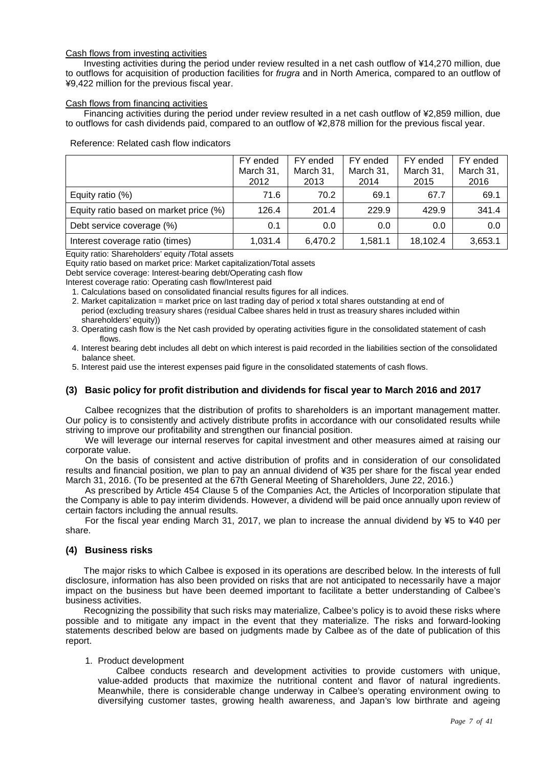#### Cash flows from investing activities

Investing activities during the period under review resulted in a net cash outflow of ¥14,270 million, due to outflows for acquisition of production facilities for *frugra* and in North America, compared to an outflow of ¥9,422 million for the previous fiscal year.

#### Cash flows from financing activities

Financing activities during the period under review resulted in a net cash outflow of ¥2,859 million, due to outflows for cash dividends paid, compared to an outflow of ¥2,878 million for the previous fiscal year.

|                                        | FY ended<br>March 31,<br>2012 | FY ended<br>March 31,<br>2013 | FY ended<br>March 31,<br>2014 | FY ended<br>March 31,<br>2015 | FY ended<br>March 31,<br>2016 |
|----------------------------------------|-------------------------------|-------------------------------|-------------------------------|-------------------------------|-------------------------------|
| Equity ratio (%)                       | 71.6                          | 70.2                          | 69.1                          | 67.7                          | 69.1                          |
| Equity ratio based on market price (%) | 126.4                         | 201.4                         | 229.9                         | 429.9                         | 341.4                         |
| Debt service coverage (%)              | 0.1                           | 0.0                           | 0.0                           | 0.0                           | 0.0                           |
| Interest coverage ratio (times)        | 1,031.4                       | 6.470.2                       | 1,581.1                       | 18.102.4                      | 3,653.1                       |

#### Reference: Related cash flow indicators

Equity ratio: Shareholders' equity /Total assets

Equity ratio based on market price: Market capitalization/Total assets

Debt service coverage: Interest-bearing debt/Operating cash flow

Interest coverage ratio: Operating cash flow/Interest paid

- 1. Calculations based on consolidated financial results figures for all indices.
- 2. Market capitalization = market price on last trading day of period x total shares outstanding at end of period (excluding treasury shares (residual Calbee shares held in trust as treasury shares included within shareholders' equity))
- 3. Operating cash flow is the Net cash provided by operating activities figure in the consolidated statement of cash flows.
- 4. Interest bearing debt includes all debt on which interest is paid recorded in the liabilities section of the consolidated balance sheet.
- 5. Interest paid use the interest expenses paid figure in the consolidated statements of cash flows.

#### **(3) Basic policy for profit distribution and dividends for fiscal year to March 2016 and 2017**

Calbee recognizes that the distribution of profits to shareholders is an important management matter. Our policy is to consistently and actively distribute profits in accordance with our consolidated results while striving to improve our profitability and strengthen our financial position.

We will leverage our internal reserves for capital investment and other measures aimed at raising our corporate value.

On the basis of consistent and active distribution of profits and in consideration of our consolidated results and financial position, we plan to pay an annual dividend of ¥35 per share for the fiscal year ended March 31, 2016. (To be presented at the 67th General Meeting of Shareholders, June 22, 2016.)

As prescribed by Article 454 Clause 5 of the Companies Act, the Articles of Incorporation stipulate that the Company is able to pay interim dividends. However, a dividend will be paid once annually upon review of certain factors including the annual results.

For the fiscal year ending March 31, 2017, we plan to increase the annual dividend by ¥5 to ¥40 per share.

#### **(4) Business risks**

The major risks to which Calbee is exposed in its operations are described below. In the interests of full disclosure, information has also been provided on risks that are not anticipated to necessarily have a major impact on the business but have been deemed important to facilitate a better understanding of Calbee's business activities.

Recognizing the possibility that such risks may materialize, Calbee's policy is to avoid these risks where possible and to mitigate any impact in the event that they materialize. The risks and forward-looking statements described below are based on judgments made by Calbee as of the date of publication of this report.

#### 1. Product development

Calbee conducts research and development activities to provide customers with unique, value-added products that maximize the nutritional content and flavor of natural ingredients. Meanwhile, there is considerable change underway in Calbee's operating environment owing to diversifying customer tastes, growing health awareness, and Japan's low birthrate and ageing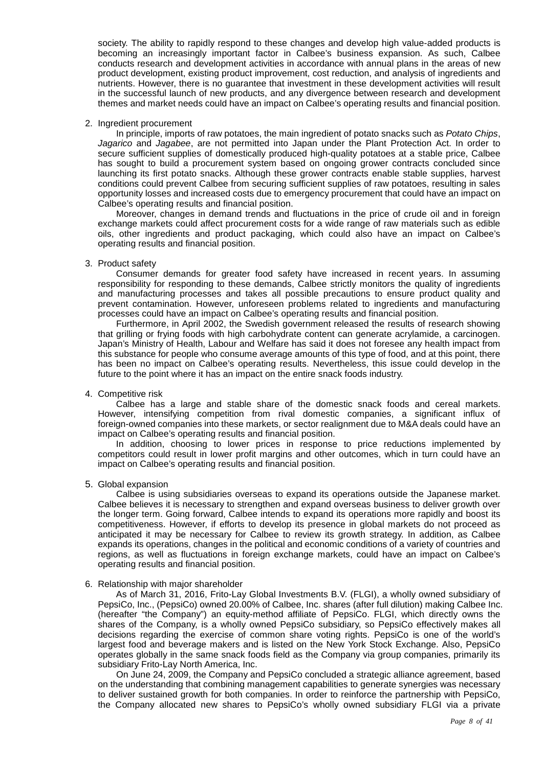society. The ability to rapidly respond to these changes and develop high value-added products is becoming an increasingly important factor in Calbee's business expansion. As such, Calbee conducts research and development activities in accordance with annual plans in the areas of new product development, existing product improvement, cost reduction, and analysis of ingredients and nutrients. However, there is no guarantee that investment in these development activities will result in the successful launch of new products, and any divergence between research and development themes and market needs could have an impact on Calbee's operating results and financial position.

#### 2. Ingredient procurement

In principle, imports of raw potatoes, the main ingredient of potato snacks such as *Potato Chips*, *Jagarico* and *Jagabee*, are not permitted into Japan under the Plant Protection Act. In order to secure sufficient supplies of domestically produced high-quality potatoes at a stable price, Calbee has sought to build a procurement system based on ongoing grower contracts concluded since launching its first potato snacks. Although these grower contracts enable stable supplies, harvest conditions could prevent Calbee from securing sufficient supplies of raw potatoes, resulting in sales opportunity losses and increased costs due to emergency procurement that could have an impact on Calbee's operating results and financial position.

Moreover, changes in demand trends and fluctuations in the price of crude oil and in foreign exchange markets could affect procurement costs for a wide range of raw materials such as edible oils, other ingredients and product packaging, which could also have an impact on Calbee's operating results and financial position.

#### 3. Product safety

Consumer demands for greater food safety have increased in recent years. In assuming responsibility for responding to these demands, Calbee strictly monitors the quality of ingredients and manufacturing processes and takes all possible precautions to ensure product quality and prevent contamination. However, unforeseen problems related to ingredients and manufacturing processes could have an impact on Calbee's operating results and financial position.

Furthermore, in April 2002, the Swedish government released the results of research showing that grilling or frying foods with high carbohydrate content can generate acrylamide, a carcinogen. Japan's Ministry of Health, Labour and Welfare has said it does not foresee any health impact from this substance for people who consume average amounts of this type of food, and at this point, there has been no impact on Calbee's operating results. Nevertheless, this issue could develop in the future to the point where it has an impact on the entire snack foods industry.

#### 4. Competitive risk

Calbee has a large and stable share of the domestic snack foods and cereal markets. However, intensifying competition from rival domestic companies, a significant influx of foreign-owned companies into these markets, or sector realignment due to M&A deals could have an impact on Calbee's operating results and financial position.

In addition, choosing to lower prices in response to price reductions implemented by competitors could result in lower profit margins and other outcomes, which in turn could have an impact on Calbee's operating results and financial position.

#### 5. Global expansion

Calbee is using subsidiaries overseas to expand its operations outside the Japanese market. Calbee believes it is necessary to strengthen and expand overseas business to deliver growth over the longer term. Going forward, Calbee intends to expand its operations more rapidly and boost its competitiveness. However, if efforts to develop its presence in global markets do not proceed as anticipated it may be necessary for Calbee to review its growth strategy. In addition, as Calbee expands its operations, changes in the political and economic conditions of a variety of countries and regions, as well as fluctuations in foreign exchange markets, could have an impact on Calbee's operating results and financial position.

#### 6. Relationship with major shareholder

As of March 31, 2016, Frito-Lay Global Investments B.V. (FLGI), a wholly owned subsidiary of PepsiCo, Inc., (PepsiCo) owned 20.00% of Calbee, Inc. shares (after full dilution) making Calbee Inc. (hereafter "the Company") an equity-method affiliate of PepsiCo. FLGI, which directly owns the shares of the Company, is a wholly owned PepsiCo subsidiary, so PepsiCo effectively makes all decisions regarding the exercise of common share voting rights. PepsiCo is one of the world's largest food and beverage makers and is listed on the New York Stock Exchange. Also, PepsiCo operates globally in the same snack foods field as the Company via group companies, primarily its subsidiary Frito-Lay North America, Inc.

On June 24, 2009, the Company and PepsiCo concluded a strategic alliance agreement, based on the understanding that combining management capabilities to generate synergies was necessary to deliver sustained growth for both companies. In order to reinforce the partnership with PepsiCo, the Company allocated new shares to PepsiCo's wholly owned subsidiary FLGI via a private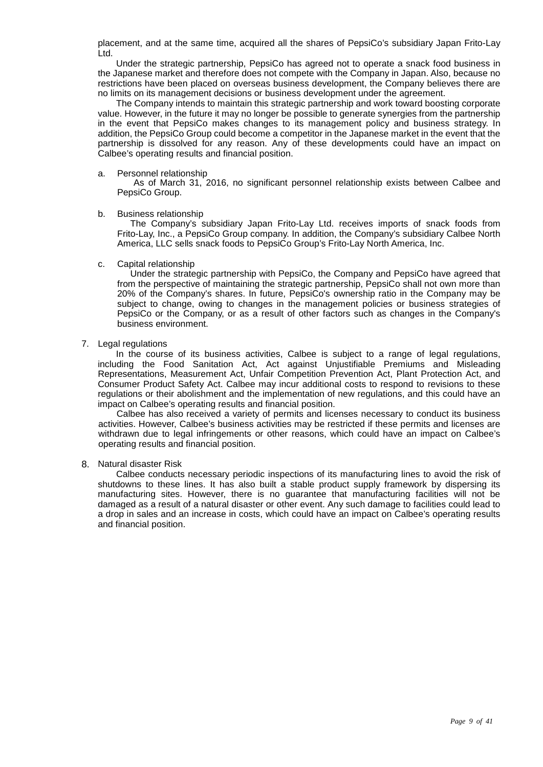placement, and at the same time, acquired all the shares of PepsiCo's subsidiary Japan Frito-Lay Ltd.

Under the strategic partnership, PepsiCo has agreed not to operate a snack food business in the Japanese market and therefore does not compete with the Company in Japan. Also, because no restrictions have been placed on overseas business development, the Company believes there are no limits on its management decisions or business development under the agreement.

The Company intends to maintain this strategic partnership and work toward boosting corporate value. However, in the future it may no longer be possible to generate synergies from the partnership in the event that PepsiCo makes changes to its management policy and business strategy. In addition, the PepsiCo Group could become a competitor in the Japanese market in the event that the partnership is dissolved for any reason. Any of these developments could have an impact on Calbee's operating results and financial position.

#### a. Personnel relationship

As of March 31, 2016, no significant personnel relationship exists between Calbee and PepsiCo Group.

#### b. Business relationship

The Company's subsidiary Japan Frito-Lay Ltd. receives imports of snack foods from Frito-Lay, Inc., a PepsiCo Group company. In addition, the Company's subsidiary Calbee North America, LLC sells snack foods to PepsiCo Group's Frito-Lay North America, Inc.

#### c. Capital relationship

Under the strategic partnership with PepsiCo, the Company and PepsiCo have agreed that from the perspective of maintaining the strategic partnership, PepsiCo shall not own more than 20% of the Company's shares. In future, PepsiCo's ownership ratio in the Company may be subject to change, owing to changes in the management policies or business strategies of PepsiCo or the Company, or as a result of other factors such as changes in the Company's business environment.

#### 7. Legal regulations

In the course of its business activities, Calbee is subject to a range of legal regulations, including the Food Sanitation Act, Act against Unjustifiable Premiums and Misleading Representations, Measurement Act, Unfair Competition Prevention Act, Plant Protection Act, and Consumer Product Safety Act. Calbee may incur additional costs to respond to revisions to these regulations or their abolishment and the implementation of new regulations, and this could have an impact on Calbee's operating results and financial position.

Calbee has also received a variety of permits and licenses necessary to conduct its business activities. However, Calbee's business activities may be restricted if these permits and licenses are withdrawn due to legal infringements or other reasons, which could have an impact on Calbee's operating results and financial position.

#### 8. Natural disaster Risk

Calbee conducts necessary periodic inspections of its manufacturing lines to avoid the risk of shutdowns to these lines. It has also built a stable product supply framework by dispersing its manufacturing sites. However, there is no guarantee that manufacturing facilities will not be damaged as a result of a natural disaster or other event. Any such damage to facilities could lead to a drop in sales and an increase in costs, which could have an impact on Calbee's operating results and financial position.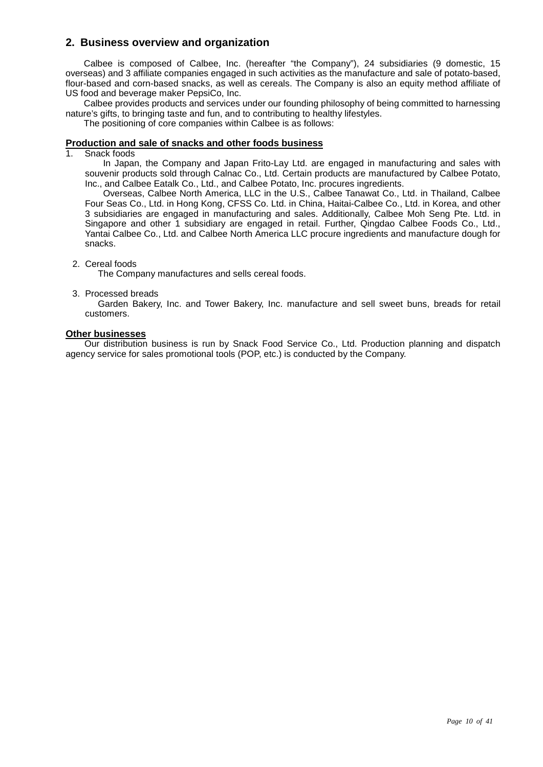## **2. Business overview and organization**

Calbee is composed of Calbee, Inc. (hereafter "the Company"), 24 subsidiaries (9 domestic, 15 overseas) and 3 affiliate companies engaged in such activities as the manufacture and sale of potato-based, flour-based and corn-based snacks, as well as cereals. The Company is also an equity method affiliate of US food and beverage maker PepsiCo, Inc.

Calbee provides products and services under our founding philosophy of being committed to harnessing nature's gifts, to bringing taste and fun, and to contributing to healthy lifestyles.

The positioning of core companies within Calbee is as follows:

## **Production and sale of snacks and other foods business**

Snack foods

In Japan, the Company and Japan Frito-Lay Ltd. are engaged in manufacturing and sales with souvenir products sold through Calnac Co., Ltd. Certain products are manufactured by Calbee Potato, Inc., and Calbee Eatalk Co., Ltd., and Calbee Potato, Inc. procures ingredients.

Overseas, Calbee North America, LLC in the U.S., Calbee Tanawat Co., Ltd. in Thailand, Calbee Four Seas Co., Ltd. in Hong Kong, CFSS Co. Ltd. in China, Haitai-Calbee Co., Ltd. in Korea, and other 3 subsidiaries are engaged in manufacturing and sales. Additionally, Calbee Moh Seng Pte. Ltd. in Singapore and other 1 subsidiary are engaged in retail. Further, Qingdao Calbee Foods Co., Ltd., Yantai Calbee Co., Ltd. and Calbee North America LLC procure ingredients and manufacture dough for snacks.

#### 2. Cereal foods

The Company manufactures and sells cereal foods.

#### 3. Processed breads

Garden Bakery, Inc. and Tower Bakery, Inc. manufacture and sell sweet buns, breads for retail customers.

#### **Other businesses**

Our distribution business is run by Snack Food Service Co., Ltd. Production planning and dispatch agency service for sales promotional tools (POP, etc.) is conducted by the Company.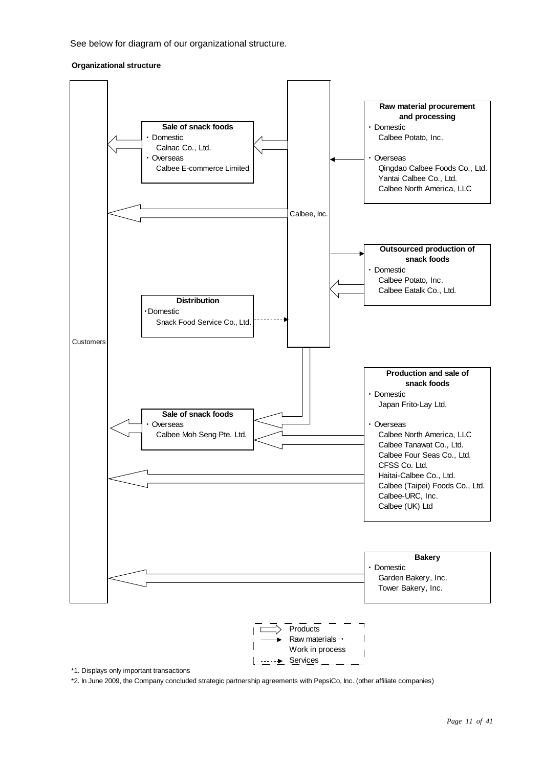See below for diagram of our organizational structure.

#### **Organizational structure**



\*1. Displays only important transactions

\*2. In June 2009, the Company concluded strategic partnership agreements with PepsiCo, Inc. (other affiliate companies)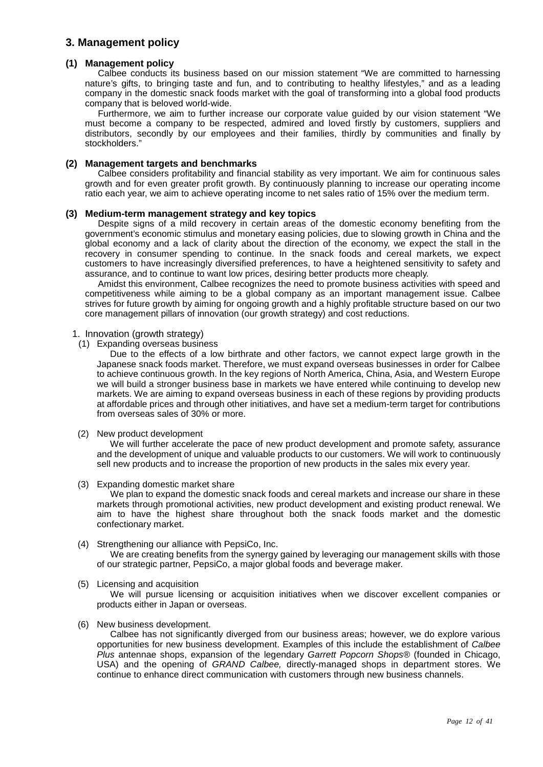## **3. Management policy**

#### **(1) Management policy**

Calbee conducts its business based on our mission statement "We are committed to harnessing nature's gifts, to bringing taste and fun, and to contributing to healthy lifestyles," and as a leading company in the domestic snack foods market with the goal of transforming into a global food products company that is beloved world-wide.

Furthermore, we aim to further increase our corporate value guided by our vision statement "We must become a company to be respected, admired and loved firstly by customers, suppliers and distributors, secondly by our employees and their families, thirdly by communities and finally by stockholders."

#### **(2) Management targets and benchmarks**

Calbee considers profitability and financial stability as very important. We aim for continuous sales growth and for even greater profit growth. By continuously planning to increase our operating income ratio each year, we aim to achieve operating income to net sales ratio of 15% over the medium term.

#### **(3) Medium-term management strategy and key topics**

Despite signs of a mild recovery in certain areas of the domestic economy benefiting from the government's economic stimulus and monetary easing policies, due to slowing growth in China and the global economy and a lack of clarity about the direction of the economy, we expect the stall in the recovery in consumer spending to continue. In the snack foods and cereal markets, we expect customers to have increasingly diversified preferences, to have a heightened sensitivity to safety and assurance, and to continue to want low prices, desiring better products more cheaply.

Amidst this environment, Calbee recognizes the need to promote business activities with speed and competitiveness while aiming to be a global company as an important management issue. Calbee strives for future growth by aiming for ongoing growth and a highly profitable structure based on our two core management pillars of innovation (our growth strategy) and cost reductions.

#### 1. Innovation (growth strategy)

(1) Expanding overseas business

Due to the effects of a low birthrate and other factors, we cannot expect large growth in the Japanese snack foods market. Therefore, we must expand overseas businesses in order for Calbee to achieve continuous growth. In the key regions of North America, China, Asia, and Western Europe we will build a stronger business base in markets we have entered while continuing to develop new markets. We are aiming to expand overseas business in each of these regions by providing products at affordable prices and through other initiatives, and have set a medium-term target for contributions from overseas sales of 30% or more.

#### (2) New product development

We will further accelerate the pace of new product development and promote safety, assurance and the development of unique and valuable products to our customers. We will work to continuously sell new products and to increase the proportion of new products in the sales mix every year.

(3) Expanding domestic market share

We plan to expand the domestic snack foods and cereal markets and increase our share in these markets through promotional activities, new product development and existing product renewal. We aim to have the highest share throughout both the snack foods market and the domestic confectionary market.

#### (4) Strengthening our alliance with PepsiCo, Inc.

We are creating benefits from the synergy gained by leveraging our management skills with those of our strategic partner, PepsiCo, a major global foods and beverage maker.

#### (5) Licensing and acquisition

We will pursue licensing or acquisition initiatives when we discover excellent companies or products either in Japan or overseas.

#### (6) New business development.

Calbee has not significantly diverged from our business areas; however, we do explore various opportunities for new business development. Examples of this include the establishment of *Calbee Plus* antennae shops, expansion of the legendary *Garrett Popcorn Shops®* (founded in Chicago, USA) and the opening of *GRAND Calbee,* directly-managed shops in department stores. We continue to enhance direct communication with customers through new business channels.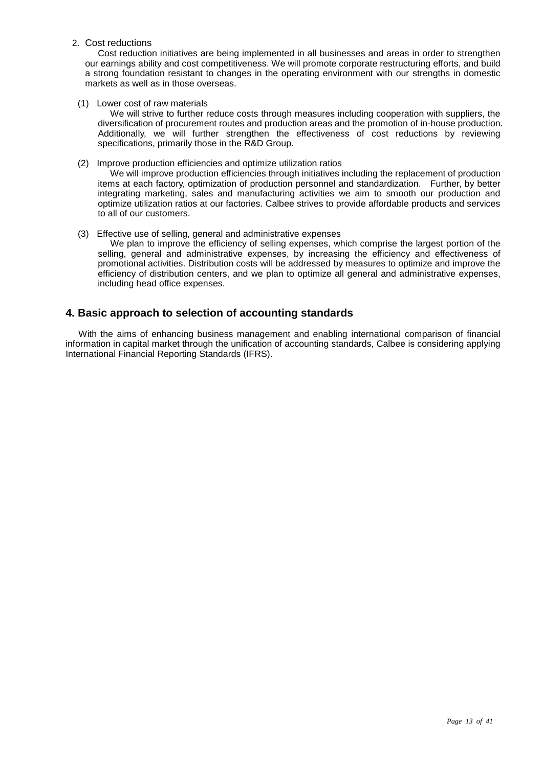2. Cost reductions

Cost reduction initiatives are being implemented in all businesses and areas in order to strengthen our earnings ability and cost competitiveness. We will promote corporate restructuring efforts, and build a strong foundation resistant to changes in the operating environment with our strengths in domestic markets as well as in those overseas.

(1) Lower cost of raw materials

We will strive to further reduce costs through measures including cooperation with suppliers, the diversification of procurement routes and production areas and the promotion of in-house production. Additionally, we will further strengthen the effectiveness of cost reductions by reviewing specifications, primarily those in the R&D Group.

(2) Improve production efficiencies and optimize utilization ratios

We will improve production efficiencies through initiatives including the replacement of production items at each factory, optimization of production personnel and standardization. Further, by better integrating marketing, sales and manufacturing activities we aim to smooth our production and optimize utilization ratios at our factories. Calbee strives to provide affordable products and services to all of our customers.

(3) Effective use of selling, general and administrative expenses

We plan to improve the efficiency of selling expenses, which comprise the largest portion of the selling, general and administrative expenses, by increasing the efficiency and effectiveness of promotional activities. Distribution costs will be addressed by measures to optimize and improve the efficiency of distribution centers, and we plan to optimize all general and administrative expenses, including head office expenses.

## **4. Basic approach to selection of accounting standards**

With the aims of enhancing business management and enabling international comparison of financial information in capital market through the unification of accounting standards, Calbee is considering applying International Financial Reporting Standards (IFRS).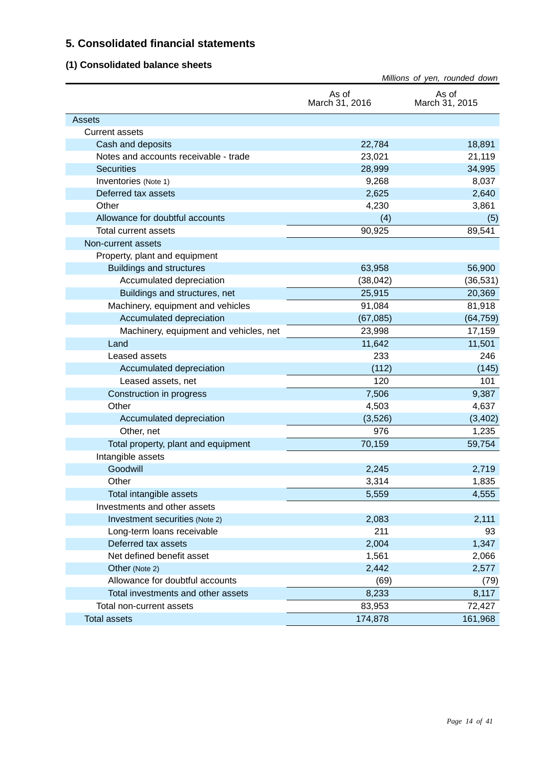## **5. Consolidated financial statements**

## **(1) Consolidated balance sheets**

|                                        |                         | Millions of yen, rounded down |
|----------------------------------------|-------------------------|-------------------------------|
|                                        | As of<br>March 31, 2016 | As of<br>March 31, 2015       |
| Assets                                 |                         |                               |
| <b>Current assets</b>                  |                         |                               |
| Cash and deposits                      | 22,784                  | 18,891                        |
| Notes and accounts receivable - trade  | 23,021                  | 21,119                        |
| <b>Securities</b>                      | 28,999                  | 34,995                        |
| Inventories (Note 1)                   | 9,268                   | 8,037                         |
| Deferred tax assets                    | 2,625                   | 2,640                         |
| Other                                  | 4,230                   | 3,861                         |
| Allowance for doubtful accounts        | (4)                     | (5)                           |
| Total current assets                   | 90,925                  | 89,541                        |
| Non-current assets                     |                         |                               |
| Property, plant and equipment          |                         |                               |
| <b>Buildings and structures</b>        | 63,958                  | 56,900                        |
| Accumulated depreciation               | (38, 042)               | (36, 531)                     |
| Buildings and structures, net          | 25,915                  | 20,369                        |
| Machinery, equipment and vehicles      | 91,084                  | 81,918                        |
| Accumulated depreciation               | (67,085)                | (64, 759)                     |
| Machinery, equipment and vehicles, net | 23,998                  | 17,159                        |
| Land                                   | 11,642                  | 11,501                        |
| Leased assets                          | 233                     | 246                           |
| Accumulated depreciation               | (112)                   | (145)                         |
| Leased assets, net                     | 120                     | 101                           |
| Construction in progress               | 7,506                   | 9,387                         |
| Other                                  | 4,503                   | 4,637                         |
| Accumulated depreciation               | (3,526)                 | (3, 402)                      |
| Other, net                             | 976                     | 1,235                         |
| Total property, plant and equipment    | 70,159                  | 59,754                        |
| Intangible assets                      |                         |                               |
| Goodwill                               | 2,245                   | 2,719                         |
| Other                                  | 3,314                   | 1,835                         |
| Total intangible assets                | 5,559                   | 4,555                         |
| Investments and other assets           |                         |                               |
| Investment securities (Note 2)         | 2,083                   | 2,111                         |
| Long-term loans receivable             | 211                     | 93                            |
| Deferred tax assets                    | 2,004                   | 1,347                         |
| Net defined benefit asset              | 1,561                   | 2,066                         |
| Other (Note 2)                         | 2,442                   | 2,577                         |
| Allowance for doubtful accounts        | (69)                    | (79)                          |
| Total investments and other assets     | 8,233                   | 8,117                         |
| Total non-current assets               | 83,953                  | 72,427                        |
| <b>Total assets</b>                    | 174,878                 | 161,968                       |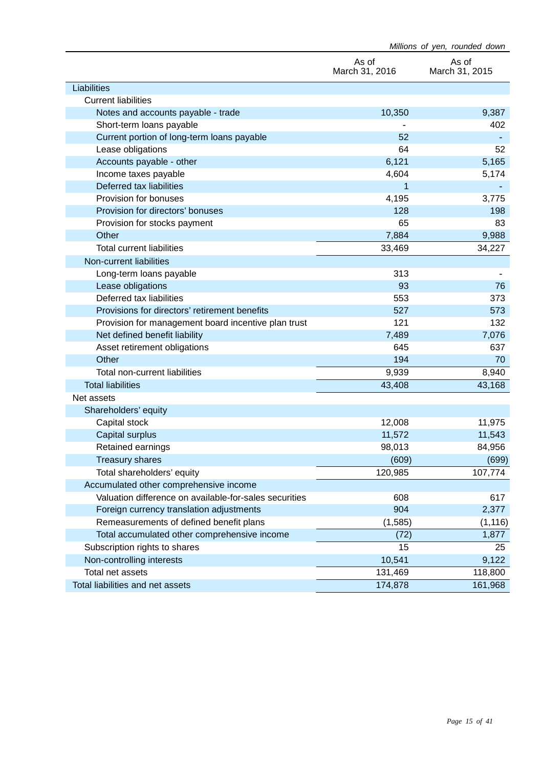|                                                        | Millions of yen, rounded down |                         |  |
|--------------------------------------------------------|-------------------------------|-------------------------|--|
|                                                        | As of<br>March 31, 2016       | As of<br>March 31, 2015 |  |
| Liabilities                                            |                               |                         |  |
| <b>Current liabilities</b>                             |                               |                         |  |
| Notes and accounts payable - trade                     | 10,350                        | 9,387                   |  |
| Short-term loans payable                               |                               | 402                     |  |
| Current portion of long-term loans payable             | 52                            |                         |  |
| Lease obligations                                      | 64                            | 52                      |  |
| Accounts payable - other                               | 6,121                         | 5,165                   |  |
| Income taxes payable                                   | 4,604                         | 5,174                   |  |
| Deferred tax liabilities                               | 1                             |                         |  |
| Provision for bonuses                                  | 4,195                         | 3,775                   |  |
| Provision for directors' bonuses                       | 128                           | 198                     |  |
| Provision for stocks payment                           | 65                            | 83                      |  |
| Other                                                  | 7,884                         | 9,988                   |  |
| <b>Total current liabilities</b>                       | 33,469                        | 34,227                  |  |
| Non-current liabilities                                |                               |                         |  |
| Long-term loans payable                                | 313                           |                         |  |
| Lease obligations                                      | 93                            | 76                      |  |
| Deferred tax liabilities                               | 553                           | 373                     |  |
| Provisions for directors' retirement benefits          | 527                           | 573                     |  |
| Provision for management board incentive plan trust    | 121                           | 132                     |  |
| Net defined benefit liability                          | 7,489                         | 7,076                   |  |
| Asset retirement obligations                           | 645                           | 637                     |  |
| Other                                                  | 194                           | 70                      |  |
| Total non-current liabilities                          | 9,939                         | 8,940                   |  |
| <b>Total liabilities</b>                               | 43,408                        | 43,168                  |  |
| Net assets                                             |                               |                         |  |
| Shareholders' equity                                   |                               |                         |  |
| Capital stock                                          | 12,008                        | 11,975                  |  |
| Capital surplus                                        | 11,572                        | 11,543                  |  |
| Retained earnings                                      | 98,013                        | 84,956                  |  |
| <b>Treasury shares</b>                                 | (609)                         | (699)                   |  |
| Total shareholders' equity                             | 120,985                       | 107,774                 |  |
| Accumulated other comprehensive income                 |                               |                         |  |
| Valuation difference on available-for-sales securities | 608                           | 617                     |  |
| Foreign currency translation adjustments               | 904                           | 2,377                   |  |
| Remeasurements of defined benefit plans                | (1, 585)                      | (1, 116)                |  |
| Total accumulated other comprehensive income           | (72)                          | 1,877                   |  |
| Subscription rights to shares                          | 15                            | 25                      |  |
| Non-controlling interests                              | 10,541                        | 9,122                   |  |
| Total net assets                                       | 131,469                       | 118,800                 |  |
| Total liabilities and net assets                       | 174,878                       | 161,968                 |  |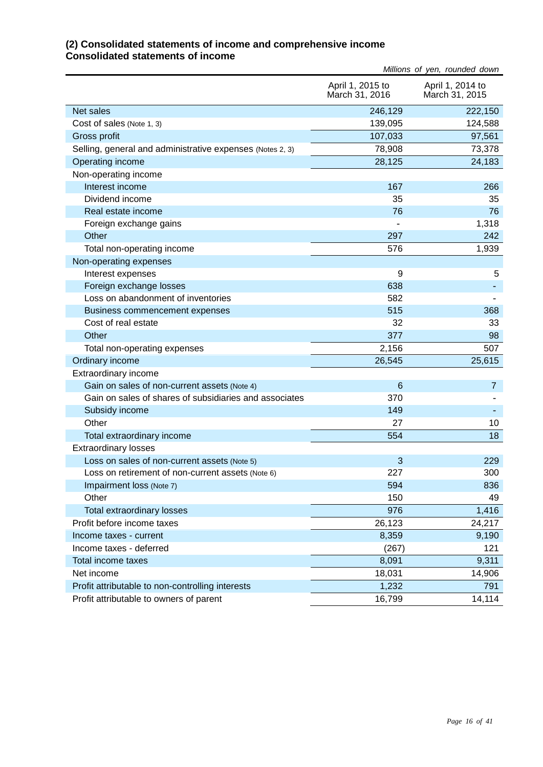## **(2) Consolidated statements of income and comprehensive income Consolidated statements of income**

|                                                           |                                    | Millions of yen, rounded down      |
|-----------------------------------------------------------|------------------------------------|------------------------------------|
|                                                           | April 1, 2015 to<br>March 31, 2016 | April 1, 2014 to<br>March 31, 2015 |
| Net sales                                                 | 246,129                            | 222,150                            |
| Cost of sales (Note 1, 3)                                 | 139,095                            | 124,588                            |
| Gross profit                                              | 107,033                            | 97,561                             |
| Selling, general and administrative expenses (Notes 2, 3) | 78,908                             | 73,378                             |
| Operating income                                          | 28,125                             | 24,183                             |
| Non-operating income                                      |                                    |                                    |
| Interest income                                           | 167                                | 266                                |
| Dividend income                                           | 35                                 | 35                                 |
| Real estate income                                        | 76                                 | 76                                 |
| Foreign exchange gains                                    |                                    | 1,318                              |
| Other                                                     | 297                                | 242                                |
| Total non-operating income                                | 576                                | 1,939                              |
| Non-operating expenses                                    |                                    |                                    |
| Interest expenses                                         | 9                                  | 5                                  |
| Foreign exchange losses                                   | 638                                |                                    |
| Loss on abandonment of inventories                        | 582                                |                                    |
| Business commencement expenses                            | 515                                | 368                                |
| Cost of real estate                                       | 32                                 | 33                                 |
| Other                                                     | 377                                | 98                                 |
| Total non-operating expenses                              | 2,156                              | 507                                |
| Ordinary income                                           | 26,545                             | 25,615                             |
| Extraordinary income                                      |                                    |                                    |
| Gain on sales of non-current assets (Note 4)              | $6\phantom{1}6$                    | $\overline{7}$                     |
| Gain on sales of shares of subsidiaries and associates    | 370                                |                                    |
| Subsidy income                                            | 149                                |                                    |
| Other                                                     | 27                                 | 10                                 |
| Total extraordinary income                                | 554                                | 18                                 |
| <b>Extraordinary losses</b>                               |                                    |                                    |
| Loss on sales of non-current assets (Note 5)              | 3                                  | 229                                |
| LOSS On retirement of non-current assets (Note 6)         | 227                                | 300                                |
| Impairment loss (Note 7)                                  | 594                                | 836                                |
| Other                                                     | 150                                | 49                                 |
| Total extraordinary losses                                | 976                                | 1,416                              |
| Profit before income taxes                                | 26,123                             | 24,217                             |
| Income taxes - current                                    | 8,359                              | 9,190                              |
| Income taxes - deferred                                   | (267)                              | 121                                |
| Total income taxes                                        | 8,091                              | 9,311                              |
| Net income                                                | 18,031                             | 14,906                             |
| Profit attributable to non-controlling interests          | 1,232                              | 791                                |
| Profit attributable to owners of parent                   | 16,799                             | 14,114                             |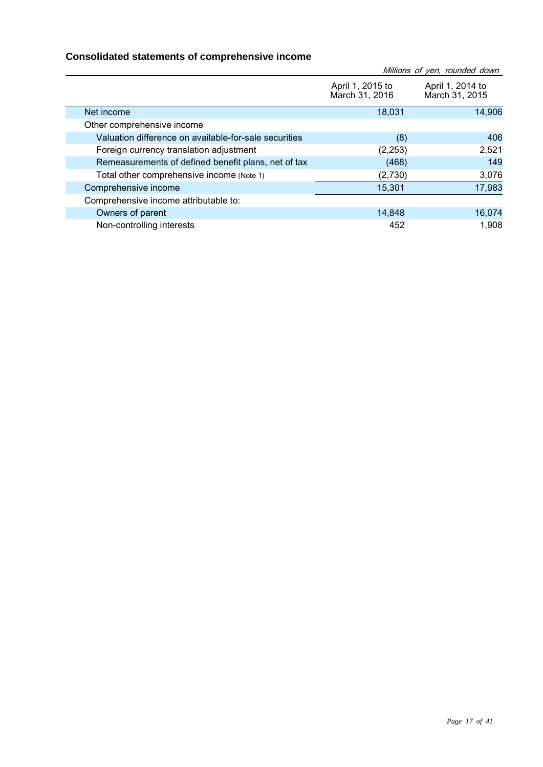## **Consolidated statements of comprehensive income**

|                                                       |                                    | Millions of yen, rounded down      |
|-------------------------------------------------------|------------------------------------|------------------------------------|
|                                                       | April 1, 2015 to<br>March 31, 2016 | April 1, 2014 to<br>March 31, 2015 |
| Net income                                            | 18,031                             | 14,906                             |
| Other comprehensive income                            |                                    |                                    |
| Valuation difference on available-for-sale securities | (8)                                | 406                                |
| Foreign currency translation adjustment               | (2, 253)                           | 2,521                              |
| Remeasurements of defined benefit plans, net of tax   | (468)                              | 149                                |
| Total other comprehensive income (Note 1)             | (2,730)                            | 3,076                              |
| Comprehensive income                                  | 15,301                             | 17,983                             |
| Comprehensive income attributable to:                 |                                    |                                    |
| Owners of parent                                      | 14,848                             | 16,074                             |
| Non-controlling interests                             | 452                                | 1,908                              |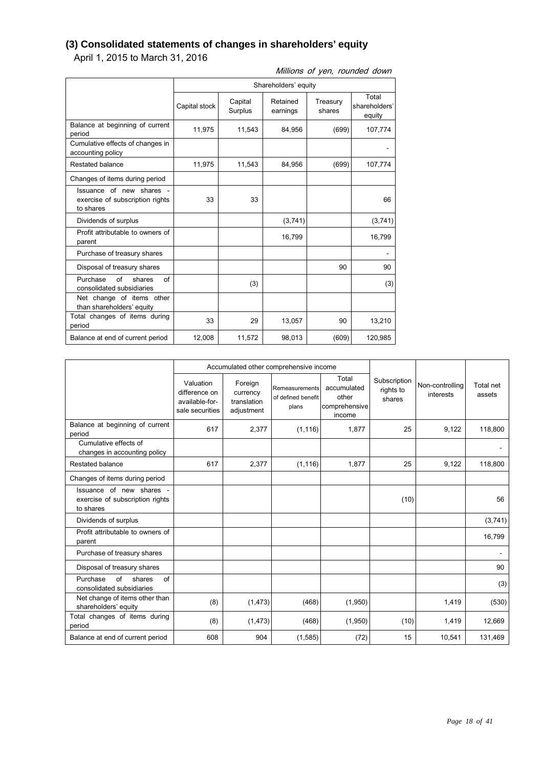## **(3) Consolidated statements of changes in shareholders' equity**

April 1, 2015 to March 31, 2016

Millions of yen, rounded down

|                                                                          | Shareholders' equity |                    |                      |                    |                                  |
|--------------------------------------------------------------------------|----------------------|--------------------|----------------------|--------------------|----------------------------------|
|                                                                          | Capital stock        | Capital<br>Surplus | Retained<br>earnings | Treasury<br>shares | Total<br>shareholders'<br>equity |
| Balance at beginning of current<br>period                                | 11,975               | 11,543             | 84,956               | (699)              | 107,774                          |
| Cumulative effects of changes in<br>accounting policy                    |                      |                    |                      |                    |                                  |
| Restated balance                                                         | 11,975               | 11,543             | 84,956               | (699)              | 107,774                          |
| Changes of items during period                                           |                      |                    |                      |                    |                                  |
| Issuance of new shares -<br>exercise of subscription rights<br>to shares | 33                   | 33                 |                      |                    | 66                               |
| Dividends of surplus                                                     |                      |                    | (3,741)              |                    | (3,741)                          |
| Profit attributable to owners of<br>parent                               |                      |                    | 16,799               |                    | 16,799                           |
| Purchase of treasury shares                                              |                      |                    |                      |                    |                                  |
| Disposal of treasury shares                                              |                      |                    |                      | 90                 | 90                               |
| Purchase<br>of<br>Ωf<br>shares<br>consolidated subsidiaries              |                      | (3)                |                      |                    | (3)                              |
| Net change of items other<br>than shareholders' equity                   |                      |                    |                      |                    |                                  |
| Total changes of items during<br>period                                  | 33                   | 29                 | 13,057               | 90                 | 13,210                           |
| Balance at end of current period                                         | 12,008               | 11,572             | 98,013               | (609)              | 120,985                          |

|                                                                          | Accumulated other comprehensive income                          |                                                  |                                               |                                                          |                                     |                              |                     |
|--------------------------------------------------------------------------|-----------------------------------------------------------------|--------------------------------------------------|-----------------------------------------------|----------------------------------------------------------|-------------------------------------|------------------------------|---------------------|
|                                                                          | Valuation<br>difference on<br>available-for-<br>sale securities | Foreign<br>currency<br>translation<br>adjustment | Remeasurements<br>of defined benefit<br>plans | Total<br>accumulated<br>other<br>comprehensive<br>income | Subscription<br>rights to<br>shares | Non-controlling<br>interests | Total net<br>assets |
| Balance at beginning of current<br>period                                | 617                                                             | 2,377                                            | (1, 116)                                      | 1,877                                                    | 25                                  | 9,122                        | 118,800             |
| Cumulative effects of<br>changes in accounting policy                    |                                                                 |                                                  |                                               |                                                          |                                     |                              |                     |
| Restated balance                                                         | 617                                                             | 2,377                                            | (1, 116)                                      | 1,877                                                    | 25                                  | 9,122                        | 118,800             |
| Changes of items during period                                           |                                                                 |                                                  |                                               |                                                          |                                     |                              |                     |
| Issuance of new shares -<br>exercise of subscription rights<br>to shares |                                                                 |                                                  |                                               |                                                          | (10)                                |                              | 56                  |
| Dividends of surplus                                                     |                                                                 |                                                  |                                               |                                                          |                                     |                              | (3,741)             |
| Profit attributable to owners of<br>parent                               |                                                                 |                                                  |                                               |                                                          |                                     |                              | 16,799              |
| Purchase of treasury shares                                              |                                                                 |                                                  |                                               |                                                          |                                     |                              |                     |
| Disposal of treasury shares                                              |                                                                 |                                                  |                                               |                                                          |                                     |                              | 90                  |
| of<br>Purchase<br>shares<br>of<br>consolidated subsidiaries              |                                                                 |                                                  |                                               |                                                          |                                     |                              | (3)                 |
| Net change of items other than<br>shareholders' equity                   | (8)                                                             | (1, 473)                                         | (468)                                         | (1,950)                                                  |                                     | 1,419                        | (530)               |
| Total changes of items during<br>period                                  | (8)                                                             | (1, 473)                                         | (468)                                         | (1,950)                                                  | (10)                                | 1,419                        | 12,669              |
| Balance at end of current period                                         | 608                                                             | 904                                              | (1,585)                                       | (72)                                                     | 15                                  | 10,541                       | 131,469             |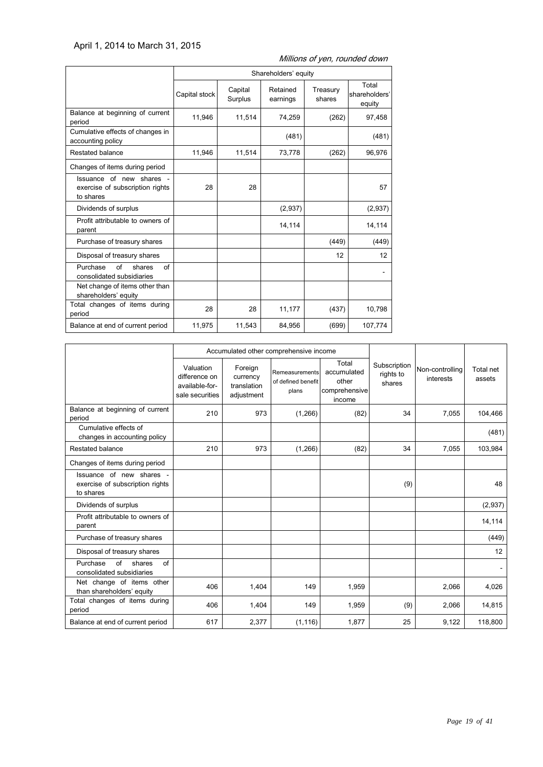## April 1, 2014 to March 31, 2015

|                                                                          | Shareholders' equity |                    |                      |                    |                                  |
|--------------------------------------------------------------------------|----------------------|--------------------|----------------------|--------------------|----------------------------------|
|                                                                          | Capital stock        | Capital<br>Surplus | Retained<br>earnings | Treasury<br>shares | Total<br>shareholders'<br>equity |
| Balance at beginning of current<br>period                                | 11,946               | 11,514             | 74,259               | (262)              | 97,458                           |
| Cumulative effects of changes in<br>accounting policy                    |                      |                    | (481)                |                    | (481)                            |
| Restated balance                                                         | 11,946               | 11,514             | 73,778               | (262)              | 96,976                           |
| Changes of items during period                                           |                      |                    |                      |                    |                                  |
| Issuance of new shares -<br>exercise of subscription rights<br>to shares | 28                   | 28                 |                      |                    | 57                               |
| Dividends of surplus                                                     |                      |                    | (2,937)              |                    | (2,937)                          |
| Profit attributable to owners of<br>parent                               |                      |                    | 14,114               |                    | 14,114                           |
| Purchase of treasury shares                                              |                      |                    |                      | (449)              | (449)                            |
| Disposal of treasury shares                                              |                      |                    |                      | 12                 | $12 \overline{ }$                |
| Purchase<br>of<br>shares<br>of<br>consolidated subsidiaries              |                      |                    |                      |                    |                                  |
| Net change of items other than<br>shareholders' equity                   |                      |                    |                      |                    |                                  |
| Total changes of items during<br>period                                  | 28                   | 28                 | 11,177               | (437)              | 10,798                           |
| Balance at end of current period                                         | 11,975               | 11,543             | 84,956               | (699)              | 107,774                          |

Millions of yen, rounded down

|                                                                          | Accumulated other comprehensive income                          |                                                  |                                               |                                                          |                                     |                              |                     |
|--------------------------------------------------------------------------|-----------------------------------------------------------------|--------------------------------------------------|-----------------------------------------------|----------------------------------------------------------|-------------------------------------|------------------------------|---------------------|
|                                                                          | Valuation<br>difference on<br>available-for-<br>sale securities | Foreign<br>currency<br>translation<br>adjustment | Remeasurements<br>of defined benefit<br>plans | Total<br>accumulated<br>other<br>comprehensive<br>income | Subscription<br>rights to<br>shares | Non-controlling<br>interests | Total net<br>assets |
| Balance at beginning of current<br>period                                | 210                                                             | 973                                              | (1,266)                                       | (82)                                                     | 34                                  | 7,055                        | 104,466             |
| Cumulative effects of<br>changes in accounting policy                    |                                                                 |                                                  |                                               |                                                          |                                     |                              | (481)               |
| Restated balance                                                         | 210                                                             | 973                                              | (1,266)                                       | (82)                                                     | 34                                  | 7,055                        | 103,984             |
| Changes of items during period                                           |                                                                 |                                                  |                                               |                                                          |                                     |                              |                     |
| Issuance of new shares -<br>exercise of subscription rights<br>to shares |                                                                 |                                                  |                                               |                                                          | (9)                                 |                              | 48                  |
| Dividends of surplus                                                     |                                                                 |                                                  |                                               |                                                          |                                     |                              | (2,937)             |
| Profit attributable to owners of<br>parent                               |                                                                 |                                                  |                                               |                                                          |                                     |                              | 14,114              |
| Purchase of treasury shares                                              |                                                                 |                                                  |                                               |                                                          |                                     |                              | (449)               |
| Disposal of treasury shares                                              |                                                                 |                                                  |                                               |                                                          |                                     |                              | 12                  |
| of<br>Purchase<br>shares<br>of<br>consolidated subsidiaries              |                                                                 |                                                  |                                               |                                                          |                                     |                              |                     |
| Net change of items other<br>than shareholders' equity                   | 406                                                             | 1,404                                            | 149                                           | 1,959                                                    |                                     | 2,066                        | 4,026               |
| Total changes of items during<br>period                                  | 406                                                             | 1,404                                            | 149                                           | 1,959                                                    | (9)                                 | 2,066                        | 14,815              |
| Balance at end of current period                                         | 617                                                             | 2,377                                            | (1, 116)                                      | 1,877                                                    | 25                                  | 9,122                        | 118,800             |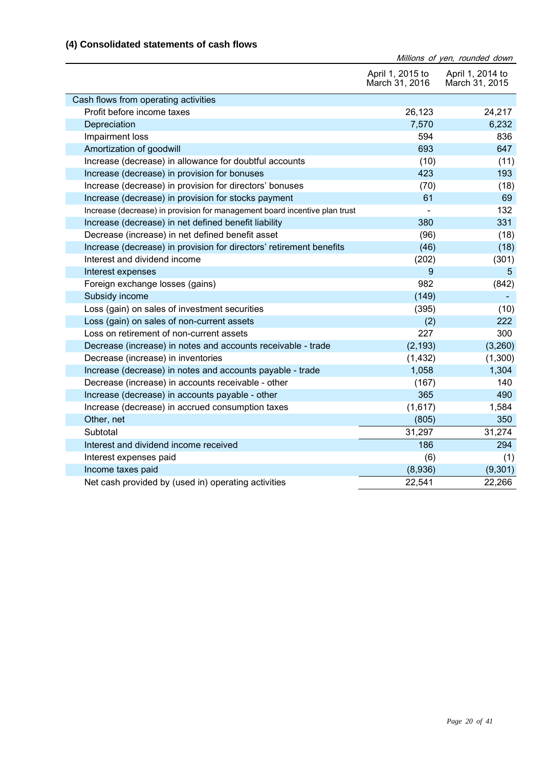## **(4) Consolidated statements of cash flows**

| (4) Consolidated Statements of Cash Hows                                   |                                    | Millions of yen, rounded down      |
|----------------------------------------------------------------------------|------------------------------------|------------------------------------|
|                                                                            | April 1, 2015 to<br>March 31, 2016 | April 1, 2014 to<br>March 31, 2015 |
| Cash flows from operating activities                                       |                                    |                                    |
| Profit before income taxes                                                 | 26,123                             | 24,217                             |
| Depreciation                                                               | 7,570                              | 6,232                              |
| Impairment loss                                                            | 594                                | 836                                |
| Amortization of goodwill                                                   | 693                                | 647                                |
| Increase (decrease) in allowance for doubtful accounts                     | (10)                               | (11)                               |
| Increase (decrease) in provision for bonuses                               | 423                                | 193                                |
| Increase (decrease) in provision for directors' bonuses                    | (70)                               | (18)                               |
| Increase (decrease) in provision for stocks payment                        | 61                                 | 69                                 |
| Increase (decrease) in provision for management board incentive plan trust |                                    | 132                                |
| Increase (decrease) in net defined benefit liability                       | 380                                | 331                                |
| Decrease (increase) in net defined benefit asset                           | (96)                               | (18)                               |
| Increase (decrease) in provision for directors' retirement benefits        | (46)                               | (18)                               |
| Interest and dividend income                                               | (202)                              | (301)                              |
| Interest expenses                                                          | 9                                  | $5\phantom{.0}$                    |
| Foreign exchange losses (gains)                                            | 982                                | (842)                              |
| Subsidy income                                                             | (149)                              |                                    |
| Loss (gain) on sales of investment securities                              | (395)                              | (10)                               |
| Loss (gain) on sales of non-current assets                                 | (2)                                | 222                                |
| Loss on retirement of non-current assets                                   | 227                                | 300                                |
| Decrease (increase) in notes and accounts receivable - trade               | (2, 193)                           | (3,260)                            |
| Decrease (increase) in inventories                                         | (1, 432)                           | (1,300)                            |
| Increase (decrease) in notes and accounts payable - trade                  | 1,058                              | 1,304                              |
| Decrease (increase) in accounts receivable - other                         | (167)                              | 140                                |
| Increase (decrease) in accounts payable - other                            | 365                                | 490                                |
| Increase (decrease) in accrued consumption taxes                           | (1,617)                            | 1,584                              |
| Other, net                                                                 | (805)                              | 350                                |
| Subtotal                                                                   | 31,297                             | 31,274                             |
| Interest and dividend income received                                      | 186                                | 294                                |
| Interest expenses paid                                                     | (6)                                | (1)                                |
| Income taxes paid                                                          | (8,936)                            | (9,301)                            |
| Net cash provided by (used in) operating activities                        | 22,541                             | 22,266                             |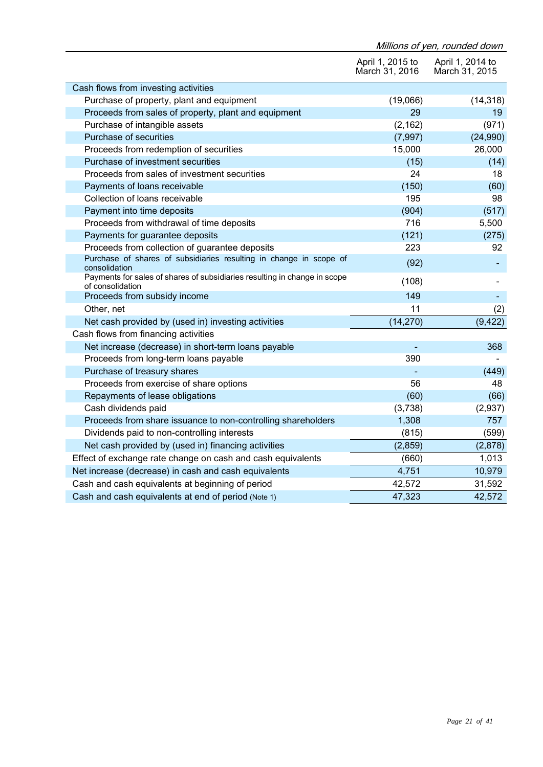|                                                                                               |                                    | Millions of yen, rounded down      |
|-----------------------------------------------------------------------------------------------|------------------------------------|------------------------------------|
|                                                                                               | April 1, 2015 to<br>March 31, 2016 | April 1, 2014 to<br>March 31, 2015 |
| Cash flows from investing activities                                                          |                                    |                                    |
| Purchase of property, plant and equipment                                                     | (19,066)                           | (14, 318)                          |
| Proceeds from sales of property, plant and equipment                                          | 29                                 | 19                                 |
| Purchase of intangible assets                                                                 | (2, 162)                           | (971)                              |
| Purchase of securities                                                                        | (7, 997)                           | (24,990)                           |
| Proceeds from redemption of securities                                                        | 15,000                             | 26,000                             |
| Purchase of investment securities                                                             | (15)                               | (14)                               |
| Proceeds from sales of investment securities                                                  | 24                                 | 18                                 |
| Payments of loans receivable                                                                  | (150)                              | (60)                               |
| Collection of loans receivable                                                                | 195                                | 98                                 |
| Payment into time deposits                                                                    | (904)                              | (517)                              |
| Proceeds from withdrawal of time deposits                                                     | 716                                | 5,500                              |
| Payments for guarantee deposits                                                               | (121)                              | (275)                              |
| Proceeds from collection of guarantee deposits                                                | 223                                | 92                                 |
| Purchase of shares of subsidiaries resulting in change in scope of<br>consolidation           | (92)                               |                                    |
| Payments for sales of shares of subsidiaries resulting in change in scope<br>of consolidation | (108)                              |                                    |
| Proceeds from subsidy income                                                                  | 149                                |                                    |
| Other, net                                                                                    | 11                                 | (2)                                |
| Net cash provided by (used in) investing activities                                           | (14, 270)                          | (9, 422)                           |
| Cash flows from financing activities                                                          |                                    |                                    |
| Net increase (decrease) in short-term loans payable                                           |                                    | 368                                |
| Proceeds from long-term loans payable                                                         | 390                                |                                    |
| Purchase of treasury shares                                                                   |                                    | (449)                              |
| Proceeds from exercise of share options                                                       | 56                                 | 48                                 |
| Repayments of lease obligations                                                               | (60)                               | (66)                               |
| Cash dividends paid                                                                           | (3,738)                            | (2,937)                            |
| Proceeds from share issuance to non-controlling shareholders                                  | 1,308                              | 757                                |
| Dividends paid to non-controlling interests                                                   | (815)                              | (599)                              |
| Net cash provided by (used in) financing activities                                           | (2,859)                            | (2,878)                            |
| Effect of exchange rate change on cash and cash equivalents                                   | (660)                              | 1,013                              |
| Net increase (decrease) in cash and cash equivalents                                          | 4,751                              | 10,979                             |
| Cash and cash equivalents at beginning of period                                              | 42,572                             | 31,592                             |
| Cash and cash equivalents at end of period (Note 1)                                           | 47,323                             | 42,572                             |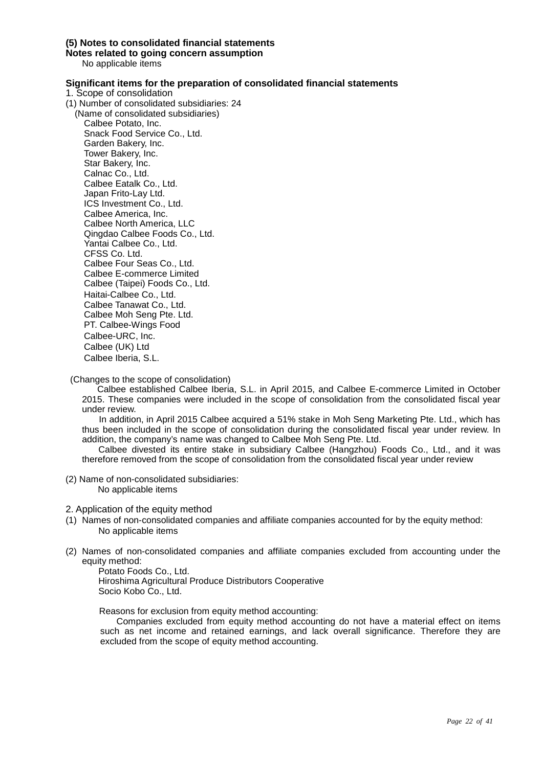#### **(5) Notes to consolidated financial statements**

**Notes related to going concern assumption**

No applicable items

#### **Significant items for the preparation of consolidated financial statements**

- 1. Scope of consolidation
- (1) Number of consolidated subsidiaries: 24

(Name of consolidated subsidiaries) Calbee Potato, Inc. Snack Food Service Co., Ltd. Garden Bakery, Inc. Tower Bakery, Inc. Star Bakery, Inc. Calnac Co., Ltd. Calbee Eatalk Co., Ltd. Japan Frito-Lay Ltd. ICS Investment Co., Ltd. Calbee America, Inc. Calbee North America, LLC Qingdao Calbee Foods Co., Ltd. Yantai Calbee Co., Ltd. CFSS Co. Ltd. Calbee Four Seas Co., Ltd. Calbee E-commerce Limited Calbee (Taipei) Foods Co., Ltd. Haitai-Calbee Co., Ltd. Calbee Tanawat Co., Ltd. Calbee Moh Seng Pte. Ltd. PT. Calbee-Wings Food Calbee-URC, Inc. Calbee (UK) Ltd Calbee Iberia, S.L.

(Changes to the scope of consolidation)

Calbee established Calbee Iberia, S.L. in April 2015, and Calbee E-commerce Limited in October 2015. These companies were included in the scope of consolidation from the consolidated fiscal year under review.

In addition, in April 2015 Calbee acquired a 51% stake in Moh Seng Marketing Pte. Ltd., which has thus been included in the scope of consolidation during the consolidated fiscal year under review. In addition, the company's name was changed to Calbee Moh Seng Pte. Ltd.

Calbee divested its entire stake in subsidiary Calbee (Hangzhou) Foods Co., Ltd., and it was therefore removed from the scope of consolidation from the consolidated fiscal year under review

(2) Name of non-consolidated subsidiaries: No applicable items

2. Application of the equity method

- (1) Names of non-consolidated companies and affiliate companies accounted for by the equity method: No applicable items
- (2) Names of non-consolidated companies and affiliate companies excluded from accounting under the equity method:

Potato Foods Co., Ltd. Hiroshima Agricultural Produce Distributors Cooperative

Socio Kobo Co., Ltd.

Reasons for exclusion from equity method accounting:

Companies excluded from equity method accounting do not have a material effect on items such as net income and retained earnings, and lack overall significance. Therefore they are excluded from the scope of equity method accounting.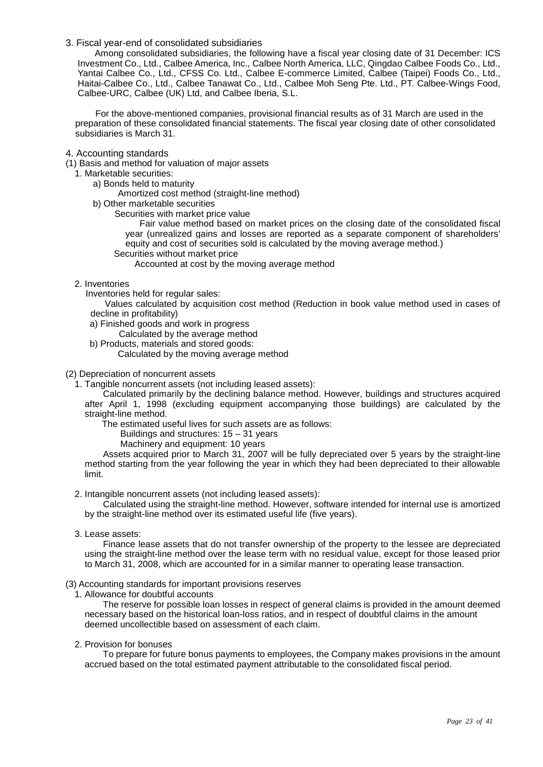#### 3. Fiscal year-end of consolidated subsidiaries

Among consolidated subsidiaries, the following have a fiscal year closing date of 31 December: ICS Investment Co., Ltd., Calbee America, Inc., Calbee North America, LLC, Qingdao Calbee Foods Co., Ltd., Yantai Calbee Co., Ltd., CFSS Co. Ltd., Calbee E-commerce Limited, Calbee (Taipei) Foods Co., Ltd., Haitai-Calbee Co., Ltd., Calbee Tanawat Co., Ltd., Calbee Moh Seng Pte. Ltd., PT. Calbee-Wings Food, Calbee-URC, Calbee (UK) Ltd, and Calbee Iberia, S.L.

For the above-mentioned companies, provisional financial results as of 31 March are used in the preparation of these consolidated financial statements. The fiscal year closing date of other consolidated subsidiaries is March 31.

#### 4. Accounting standards

(1) Basis and method for valuation of major assets

#### 1. Marketable securities:

a) Bonds held to maturity

- Amortized cost method (straight-line method)
- b) Other marketable securities
	- Securities with market price value

Fair value method based on market prices on the closing date of the consolidated fiscal year (unrealized gains and losses are reported as a separate component of shareholders' equity and cost of securities sold is calculated by the moving average method.)

Securities without market price

Accounted at cost by the moving average method

2. Inventories

Inventories held for regular sales:

Values calculated by acquisition cost method (Reduction in book value method used in cases of decline in profitability)

- a) Finished goods and work in progress
	- Calculated by the average method
- b) Products, materials and stored goods:
	- Calculated by the moving average method
- (2) Depreciation of noncurrent assets

1. Tangible noncurrent assets (not including leased assets):

Calculated primarily by the declining balance method. However, buildings and structures acquired after April 1, 1998 (excluding equipment accompanying those buildings) are calculated by the straight-line method.

The estimated useful lives for such assets are as follows:

Buildings and structures: 15 – 31 years

Machinery and equipment: 10 years

Assets acquired prior to March 31, 2007 will be fully depreciated over 5 years by the straight-line method starting from the year following the year in which they had been depreciated to their allowable limit.

2. Intangible noncurrent assets (not including leased assets):

Calculated using the straight-line method. However, software intended for internal use is amortized by the straight-line method over its estimated useful life (five years).

3. Lease assets:

Finance lease assets that do not transfer ownership of the property to the lessee are depreciated using the straight-line method over the lease term with no residual value, except for those leased prior to March 31, 2008, which are accounted for in a similar manner to operating lease transaction.

#### (3) Accounting standards for important provisions reserves

1. Allowance for doubtful accounts

The reserve for possible loan losses in respect of general claims is provided in the amount deemed necessary based on the historical loan-loss ratios, and in respect of doubtful claims in the amount deemed uncollectible based on assessment of each claim.

2. Provision for bonuses

To prepare for future bonus payments to employees, the Company makes provisions in the amount accrued based on the total estimated payment attributable to the consolidated fiscal period.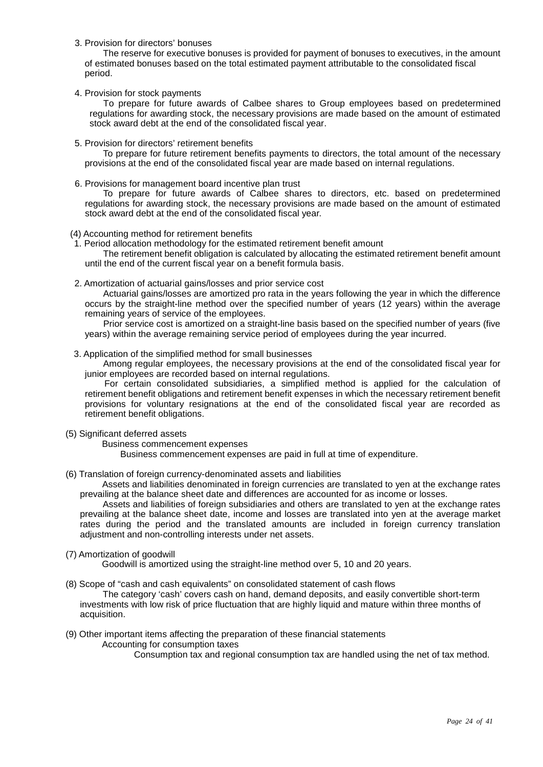3. Provision for directors' bonuses

The reserve for executive bonuses is provided for payment of bonuses to executives, in the amount of estimated bonuses based on the total estimated payment attributable to the consolidated fiscal period.

4. Provision for stock payments

To prepare for future awards of Calbee shares to Group employees based on predetermined regulations for awarding stock, the necessary provisions are made based on the amount of estimated stock award debt at the end of the consolidated fiscal year.

5. Provision for directors' retirement benefits

To prepare for future retirement benefits payments to directors, the total amount of the necessary provisions at the end of the consolidated fiscal year are made based on internal regulations.

6. Provisions for management board incentive plan trust

To prepare for future awards of Calbee shares to directors, etc. based on predetermined regulations for awarding stock, the necessary provisions are made based on the amount of estimated stock award debt at the end of the consolidated fiscal year.

(4) Accounting method for retirement benefits

1. Period allocation methodology for the estimated retirement benefit amount

The retirement benefit obligation is calculated by allocating the estimated retirement benefit amount until the end of the current fiscal year on a benefit formula basis.

2. Amortization of actuarial gains/losses and prior service cost

Actuarial gains/losses are amortized pro rata in the years following the year in which the difference occurs by the straight-line method over the specified number of years (12 years) within the average remaining years of service of the employees.

Prior service cost is amortized on a straight-line basis based on the specified number of years (five years) within the average remaining service period of employees during the year incurred.

3. Application of the simplified method for small businesses

Among regular employees, the necessary provisions at the end of the consolidated fiscal year for junior employees are recorded based on internal regulations.

For certain consolidated subsidiaries, a simplified method is applied for the calculation of retirement benefit obligations and retirement benefit expenses in which the necessary retirement benefit provisions for voluntary resignations at the end of the consolidated fiscal year are recorded as retirement benefit obligations.

- (5) Significant deferred assets
	- Business commencement expenses

Business commencement expenses are paid in full at time of expenditure.

(6) Translation of foreign currency-denominated assets and liabilities

Assets and liabilities denominated in foreign currencies are translated to yen at the exchange rates prevailing at the balance sheet date and differences are accounted for as income or losses.

Assets and liabilities of foreign subsidiaries and others are translated to yen at the exchange rates prevailing at the balance sheet date, income and losses are translated into yen at the average market rates during the period and the translated amounts are included in foreign currency translation adjustment and non-controlling interests under net assets.

(7) Amortization of goodwill

Goodwill is amortized using the straight-line method over 5, 10 and 20 years.

(8) Scope of "cash and cash equivalents" on consolidated statement of cash flows

The category 'cash' covers cash on hand, demand deposits, and easily convertible short-term investments with low risk of price fluctuation that are highly liquid and mature within three months of acquisition.

(9) Other important items affecting the preparation of these financial statements Accounting for consumption taxes

Consumption tax and regional consumption tax are handled using the net of tax method.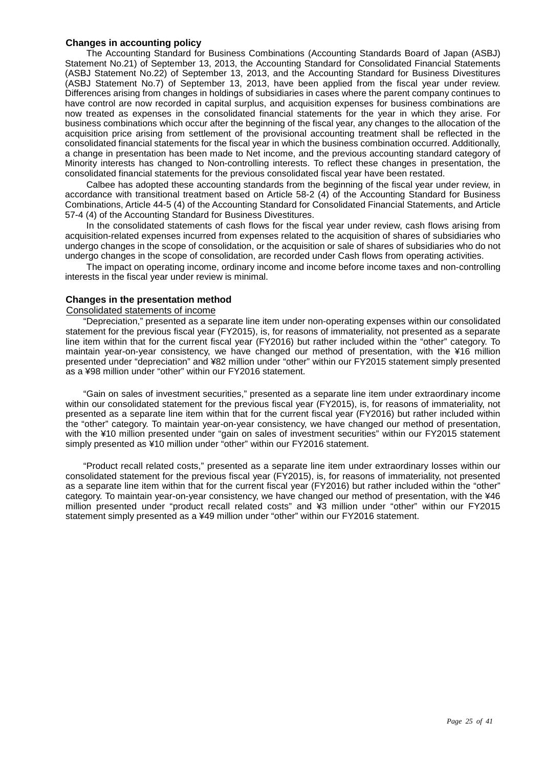#### **Changes in accounting policy**

The Accounting Standard for Business Combinations (Accounting Standards Board of Japan (ASBJ) Statement No.21) of September 13, 2013, the Accounting Standard for Consolidated Financial Statements (ASBJ Statement No.22) of September 13, 2013, and the Accounting Standard for Business Divestitures (ASBJ Statement No.7) of September 13, 2013, have been applied from the fiscal year under review. Differences arising from changes in holdings of subsidiaries in cases where the parent company continues to have control are now recorded in capital surplus, and acquisition expenses for business combinations are now treated as expenses in the consolidated financial statements for the year in which they arise. For business combinations which occur after the beginning of the fiscal year, any changes to the allocation of the acquisition price arising from settlement of the provisional accounting treatment shall be reflected in the consolidated financial statements for the fiscal year in which the business combination occurred. Additionally, a change in presentation has been made to Net income, and the previous accounting standard category of Minority interests has changed to Non-controlling interests. To reflect these changes in presentation, the consolidated financial statements for the previous consolidated fiscal year have been restated.

Calbee has adopted these accounting standards from the beginning of the fiscal year under review, in accordance with transitional treatment based on Article 58-2 (4) of the Accounting Standard for Business Combinations, Article 44-5 (4) of the Accounting Standard for Consolidated Financial Statements, and Article 57-4 (4) of the Accounting Standard for Business Divestitures.

In the consolidated statements of cash flows for the fiscal year under review, cash flows arising from acquisition-related expenses incurred from expenses related to the acquisition of shares of subsidiaries who undergo changes in the scope of consolidation, or the acquisition or sale of shares of subsidiaries who do not undergo changes in the scope of consolidation, are recorded under Cash flows from operating activities.

The impact on operating income, ordinary income and income before income taxes and non-controlling interests in the fiscal year under review is minimal.

#### **Changes in the presentation method**

#### Consolidated statements of income

"Depreciation," presented as a separate line item under non-operating expenses within our consolidated statement for the previous fiscal year (FY2015), is, for reasons of immateriality, not presented as a separate line item within that for the current fiscal year (FY2016) but rather included within the "other" category. To maintain year-on-year consistency, we have changed our method of presentation, with the ¥16 million presented under "depreciation" and ¥82 million under "other" within our FY2015 statement simply presented as a ¥98 million under "other" within our FY2016 statement.

"Gain on sales of investment securities," presented as a separate line item under extraordinary income within our consolidated statement for the previous fiscal year (FY2015), is, for reasons of immateriality, not presented as a separate line item within that for the current fiscal year (FY2016) but rather included within the "other" category. To maintain year-on-year consistency, we have changed our method of presentation, with the ¥10 million presented under "gain on sales of investment securities" within our FY2015 statement simply presented as ¥10 million under "other" within our FY2016 statement.

"Product recall related costs," presented as a separate line item under extraordinary losses within our consolidated statement for the previous fiscal year (FY2015), is, for reasons of immateriality, not presented as a separate line item within that for the current fiscal year (FY2016) but rather included within the "other" category. To maintain year-on-year consistency, we have changed our method of presentation, with the ¥46 million presented under "product recall related costs" and ¥3 million under "other" within our FY2015 statement simply presented as a ¥49 million under "other" within our FY2016 statement.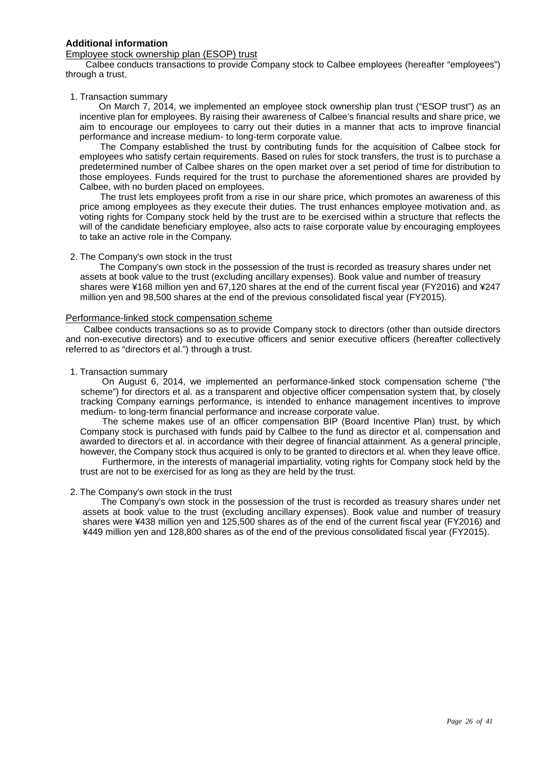#### **Additional information**

#### Employee stock ownership plan (ESOP) trust

Calbee conducts transactions to provide Company stock to Calbee employees (hereafter "employees") through a trust.

#### 1. Transaction summary

On March 7, 2014, we implemented an employee stock ownership plan trust ("ESOP trust") as an incentive plan for employees. By raising their awareness of Calbee's financial results and share price, we aim to encourage our employees to carry out their duties in a manner that acts to improve financial performance and increase medium- to long-term corporate value.

The Company established the trust by contributing funds for the acquisition of Calbee stock for employees who satisfy certain requirements. Based on rules for stock transfers, the trust is to purchase a predetermined number of Calbee shares on the open market over a set period of time for distribution to those employees. Funds required for the trust to purchase the aforementioned shares are provided by Calbee, with no burden placed on employees.

The trust lets employees profit from a rise in our share price, which promotes an awareness of this price among employees as they execute their duties. The trust enhances employee motivation and, as voting rights for Company stock held by the trust are to be exercised within a structure that reflects the will of the candidate beneficiary employee, also acts to raise corporate value by encouraging employees to take an active role in the Company.

#### 2. The Company's own stock in the trust

The Company's own stock in the possession of the trust is recorded as treasury shares under net assets at book value to the trust (excluding ancillary expenses). Book value and number of treasury shares were ¥168 million yen and 67,120 shares at the end of the current fiscal year (FY2016) and ¥247 million yen and 98,500 shares at the end of the previous consolidated fiscal year (FY2015).

#### Performance-linked stock compensation scheme

Calbee conducts transactions so as to provide Company stock to directors (other than outside directors and non-executive directors) and to executive officers and senior executive officers (hereafter collectively referred to as "directors et al.") through a trust.

#### 1. Transaction summary

On August 6, 2014, we implemented an performance-linked stock compensation scheme ("the scheme") for directors et al. as a transparent and objective officer compensation system that, by closely tracking Company earnings performance, is intended to enhance management incentives to improve medium- to long-term financial performance and increase corporate value.

The scheme makes use of an officer compensation BIP (Board Incentive Plan) trust, by which Company stock is purchased with funds paid by Calbee to the fund as director et al. compensation and awarded to directors et al. in accordance with their degree of financial attainment. As a general principle, however, the Company stock thus acquired is only to be granted to directors et al. when they leave office.

Furthermore, in the interests of managerial impartiality, voting rights for Company stock held by the trust are not to be exercised for as long as they are held by the trust.

#### 2. The Company's own stock in the trust

The Company's own stock in the possession of the trust is recorded as treasury shares under net assets at book value to the trust (excluding ancillary expenses). Book value and number of treasury shares were ¥438 million yen and 125,500 shares as of the end of the current fiscal year (FY2016) and ¥449 million yen and 128,800 shares as of the end of the previous consolidated fiscal year (FY2015).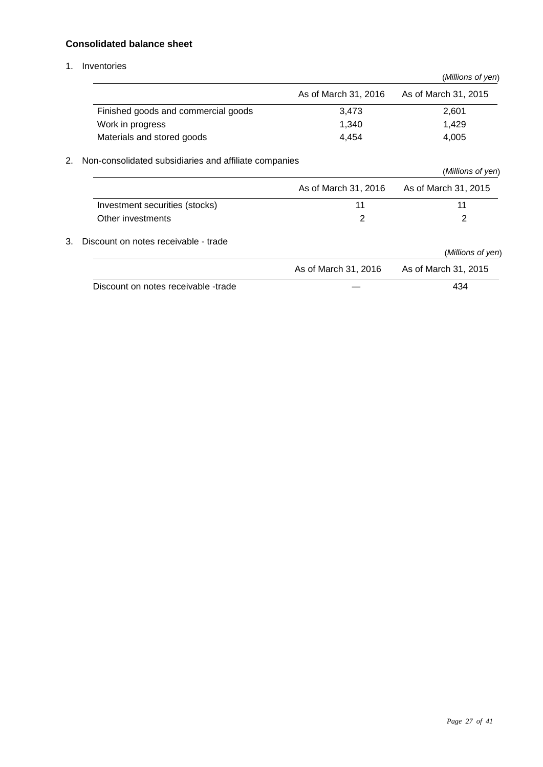## **Consolidated balance sheet**

1. Inventories

|    |                                                       |                      | (Millions of yen)    |
|----|-------------------------------------------------------|----------------------|----------------------|
|    |                                                       | As of March 31, 2016 | As of March 31, 2015 |
|    | Finished goods and commercial goods                   | 3,473                | 2,601                |
|    | Work in progress                                      | 1,340                | 1,429                |
|    | Materials and stored goods                            | 4,454                | 4,005                |
| 2. | Non-consolidated subsidiaries and affiliate companies |                      |                      |
|    |                                                       |                      | (Millions of yen)    |
|    |                                                       | As of March 31, 2016 | As of March 31, 2015 |
|    | Investment securities (stocks)                        | 11                   | 11                   |
|    | Other investments                                     | 2                    | 2                    |
| 3. | Discount on notes receivable - trade                  |                      |                      |
|    |                                                       |                      | (Millions of yen)    |
|    |                                                       | As of March 31, 2016 | As of March 31, 2015 |
|    | Discount on notes receivable -trade                   |                      | 434                  |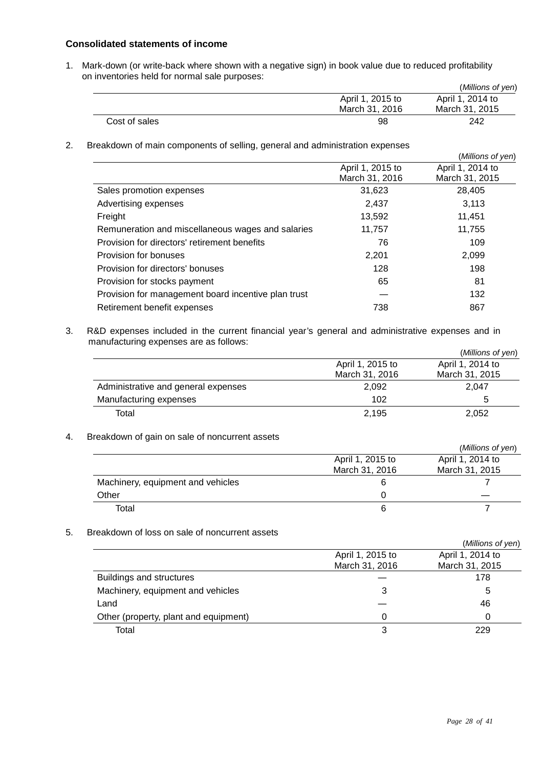#### **Consolidated statements of income**

1. Mark-down (or write-back where shown with a negative sign) in book value due to reduced profitability on inventories held for normal sale purposes:

|               |                  | (Millions of yen) |
|---------------|------------------|-------------------|
|               | April 1, 2015 to | April 1, 2014 to  |
|               | March 31, 2016   | March 31, 2015    |
| Cost of sales | 98               | 242               |

2. Breakdown of main components of selling, general and administration expenses

|                                                     |                                    | (Millions of yen)                  |
|-----------------------------------------------------|------------------------------------|------------------------------------|
|                                                     | April 1, 2015 to<br>March 31, 2016 | April 1, 2014 to<br>March 31, 2015 |
| Sales promotion expenses                            | 31,623                             | 28,405                             |
| Advertising expenses                                | 2,437                              | 3.113                              |
| Freight                                             | 13,592                             | 11,451                             |
| Remuneration and miscellaneous wages and salaries   | 11,757                             | 11,755                             |
| Provision for directors' retirement benefits        | 76                                 | 109                                |
| Provision for bonuses                               | 2,201                              | 2,099                              |
| Provision for directors' bonuses                    | 128                                | 198                                |
| Provision for stocks payment                        | 65                                 | 81                                 |
| Provision for management board incentive plan trust |                                    | 132                                |
| Retirement benefit expenses                         | 738                                | 867                                |

3. R&D expenses included in the current financial year's general and administrative expenses and in manufacturing expenses are as follows:

|                                     |                  | (Millions of yen) |
|-------------------------------------|------------------|-------------------|
|                                     | April 1, 2015 to | April 1, 2014 to  |
|                                     | March 31, 2016   | March 31, 2015    |
| Administrative and general expenses | 2.092            | 2.047             |
| Manufacturing expenses              | 102              | b                 |
| Total                               | 2.195            | 2,052             |

#### 4. Breakdown of gain on sale of noncurrent assets

|                                   |                  | (Millions of yen) |
|-----------------------------------|------------------|-------------------|
|                                   | April 1, 2015 to | April 1, 2014 to  |
|                                   | March 31, 2016   | March 31, 2015    |
| Machinery, equipment and vehicles |                  |                   |
| Other                             |                  |                   |
| Total                             |                  |                   |

#### 5. Breakdown of loss on sale of noncurrent assets

|                                       |                  | (Millions of yen) |
|---------------------------------------|------------------|-------------------|
|                                       | April 1, 2015 to | April 1, 2014 to  |
|                                       | March 31, 2016   | March 31, 2015    |
| Buildings and structures              |                  | 178               |
| Machinery, equipment and vehicles     | 3                | 5                 |
| Land                                  |                  | 46                |
| Other (property, plant and equipment) |                  |                   |
| Total                                 |                  | 229               |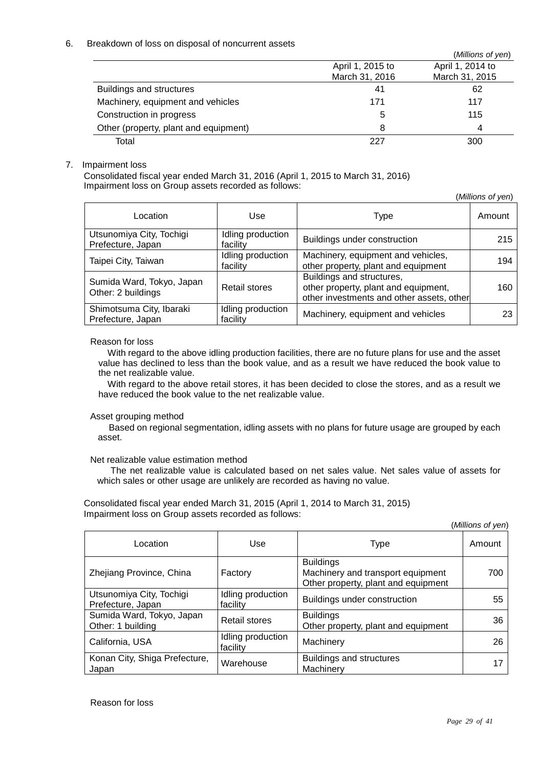#### 6. Breakdown of loss on disposal of noncurrent assets

|                                       |                  | (Millions of yen) |
|---------------------------------------|------------------|-------------------|
|                                       | April 1, 2015 to | April 1, 2014 to  |
|                                       | March 31, 2016   | March 31, 2015    |
| Buildings and structures              | 41               | 62                |
| Machinery, equipment and vehicles     | 171              | 117               |
| Construction in progress              | 5                | 115               |
| Other (property, plant and equipment) | 8                | 4                 |
| Total                                 | 227              | 300               |

#### 7. Impairment loss

Consolidated fiscal year ended March 31, 2016 (April 1, 2015 to March 31, 2016) Impairment loss on Group assets recorded as follows:

(*Millions of yen*)

| Location                                        | Use                           | Type                                                                                                           | Amount |
|-------------------------------------------------|-------------------------------|----------------------------------------------------------------------------------------------------------------|--------|
| Utsunomiya City, Tochigi<br>Prefecture, Japan   | Idling production<br>facility | Buildings under construction                                                                                   | 215    |
| Taipei City, Taiwan                             | Idling production<br>facility | Machinery, equipment and vehicles,<br>other property, plant and equipment                                      | 194    |
| Sumida Ward, Tokyo, Japan<br>Other: 2 buildings | Retail stores                 | Buildings and structures,<br>other property, plant and equipment,<br>other investments and other assets, other | 160    |
| Shimotsuma City, Ibaraki<br>Prefecture, Japan   | Idling production<br>facility | Machinery, equipment and vehicles                                                                              | 23     |

#### Reason for loss

With regard to the above idling production facilities, there are no future plans for use and the asset value has declined to less than the book value, and as a result we have reduced the book value to the net realizable value.

With regard to the above retail stores, it has been decided to close the stores, and as a result we have reduced the book value to the net realizable value.

#### Asset grouping method

Based on regional segmentation, idling assets with no plans for future usage are grouped by each asset.

#### Net realizable value estimation method

The net realizable value is calculated based on net sales value. Net sales value of assets for which sales or other usage are unlikely are recorded as having no value.

Consolidated fiscal year ended March 31, 2015 (April 1, 2014 to March 31, 2015) Impairment loss on Group assets recorded as follows:

(*Millions of yen*)

| Location                                       | Use                           | Type                                                                                         | Amount |
|------------------------------------------------|-------------------------------|----------------------------------------------------------------------------------------------|--------|
| Zhejiang Province, China                       | Factory                       | <b>Buildings</b><br>Machinery and transport equipment<br>Other property, plant and equipment | 700    |
| Utsunomiya City, Tochigi<br>Prefecture, Japan  | Idling production<br>facility | Buildings under construction                                                                 | 55     |
| Sumida Ward, Tokyo, Japan<br>Other: 1 building | <b>Retail stores</b>          | <b>Buildings</b><br>Other property, plant and equipment                                      | 36     |
| California, USA                                | Idling production<br>facility | Machinery                                                                                    | 26     |
| Konan City, Shiga Prefecture,<br>Japan         | Warehouse                     | <b>Buildings and structures</b><br>Machinery                                                 |        |

Reason for loss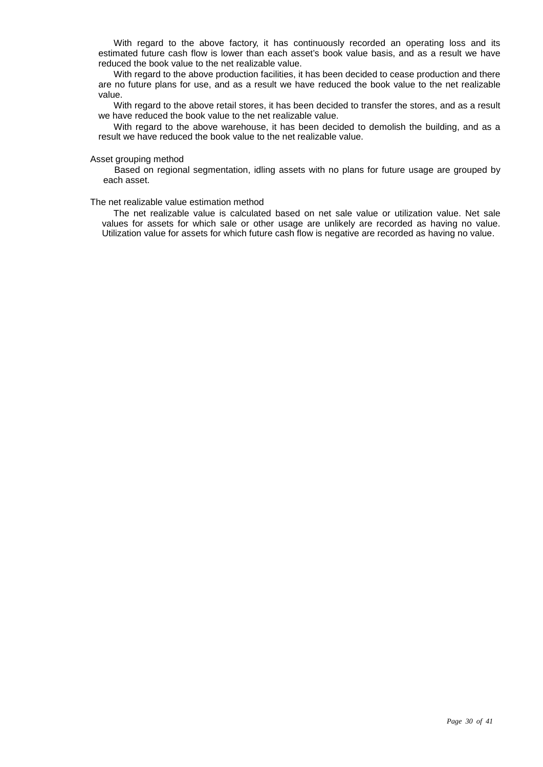With regard to the above factory, it has continuously recorded an operating loss and its estimated future cash flow is lower than each asset's book value basis, and as a result we have reduced the book value to the net realizable value.

With regard to the above production facilities, it has been decided to cease production and there are no future plans for use, and as a result we have reduced the book value to the net realizable value.

With regard to the above retail stores, it has been decided to transfer the stores, and as a result we have reduced the book value to the net realizable value.

With regard to the above warehouse, it has been decided to demolish the building, and as a result we have reduced the book value to the net realizable value.

#### Asset grouping method

Based on regional segmentation, idling assets with no plans for future usage are grouped by each asset.

#### The net realizable value estimation method

The net realizable value is calculated based on net sale value or utilization value. Net sale values for assets for which sale or other usage are unlikely are recorded as having no value. Utilization value for assets for which future cash flow is negative are recorded as having no value.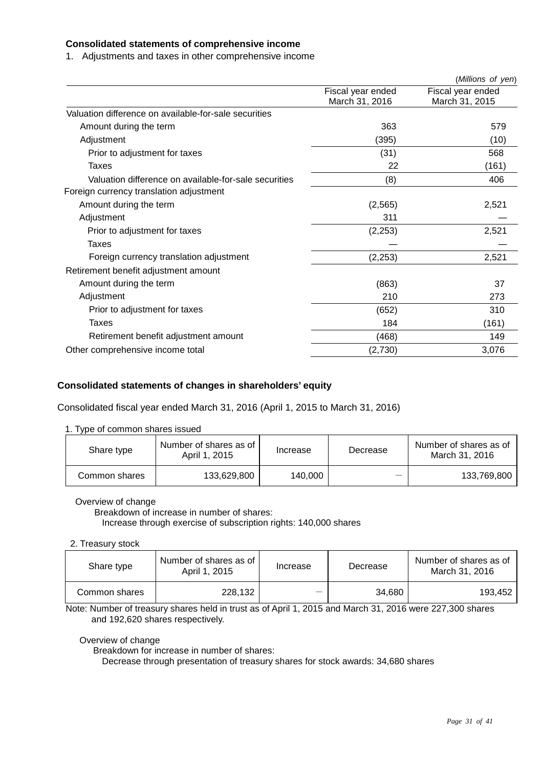#### **Consolidated statements of comprehensive income**

1. Adjustments and taxes in other comprehensive income

|                                                       |                                     | (Millions of yen)                   |
|-------------------------------------------------------|-------------------------------------|-------------------------------------|
|                                                       | Fiscal year ended<br>March 31, 2016 | Fiscal year ended<br>March 31, 2015 |
| Valuation difference on available-for-sale securities |                                     |                                     |
| Amount during the term                                | 363                                 | 579                                 |
| Adjustment                                            | (395)                               | (10)                                |
| Prior to adjustment for taxes                         | (31)                                | 568                                 |
| Taxes                                                 | 22                                  | (161)                               |
| Valuation difference on available-for-sale securities | (8)                                 | 406                                 |
| Foreign currency translation adjustment               |                                     |                                     |
| Amount during the term                                | (2, 565)                            | 2,521                               |
| Adjustment                                            | 311                                 |                                     |
| Prior to adjustment for taxes                         | (2, 253)                            | 2,521                               |
| Taxes                                                 |                                     |                                     |
| Foreign currency translation adjustment               | (2, 253)                            | 2,521                               |
| Retirement benefit adjustment amount                  |                                     |                                     |
| Amount during the term                                | (863)                               | 37                                  |
| Adjustment                                            | 210                                 | 273                                 |
| Prior to adjustment for taxes                         | (652)                               | 310                                 |
| Taxes                                                 | 184                                 | (161)                               |
| Retirement benefit adjustment amount                  | (468)                               | 149                                 |
| Other comprehensive income total                      | (2,730)                             | 3,076                               |
|                                                       |                                     |                                     |

#### **Consolidated statements of changes in shareholders' equity**

Consolidated fiscal year ended March 31, 2016 (April 1, 2015 to March 31, 2016)

#### 1. Type of common shares issued

| Share type    | Number of shares as of<br>April 1, 2015 | Increase | Decrease | Number of shares as of<br>March 31, 2016 |
|---------------|-----------------------------------------|----------|----------|------------------------------------------|
| Common shares | 133,629,800                             | 140,000  |          | 133,769,800                              |

#### Overview of change

Breakdown of increase in number of shares: Increase through exercise of subscription rights: 140,000 shares

#### 2. Treasury stock

| Share type    | Number of shares as of<br>April 1, 2015 | Increase                 | Decrease | Number of shares as of<br>March 31, 2016 |
|---------------|-----------------------------------------|--------------------------|----------|------------------------------------------|
| Common shares | 228.132                                 | $\overline{\phantom{a}}$ | 34,680   | 193.452                                  |

Note: Number of treasury shares held in trust as of April 1, 2015 and March 31, 2016 were 227,300 shares and 192,620 shares respectively.

## Overview of change

Breakdown for increase in number of shares:

Decrease through presentation of treasury shares for stock awards: 34,680 shares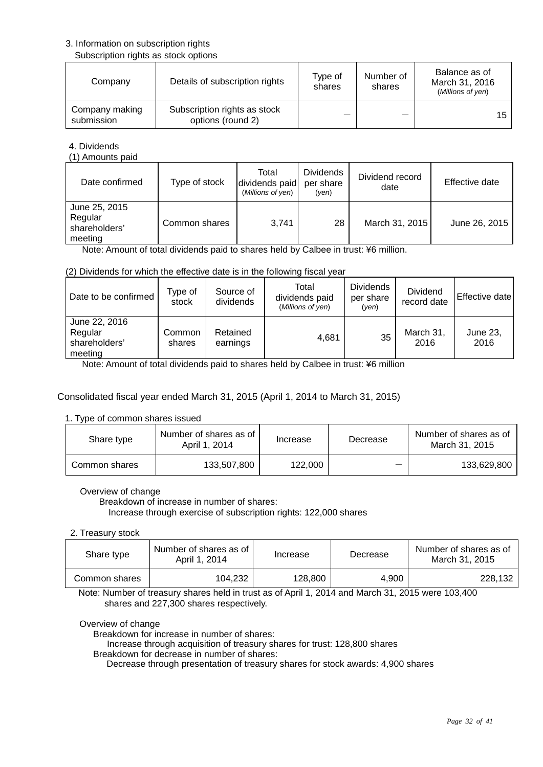#### 3. Information on subscription rights

#### Subscription rights as stock options

| Company                      | Details of subscription rights                    | Type of<br>shares | Number of<br>shares | Balance as of<br>March 31, 2016<br>(Millions of yen) |
|------------------------------|---------------------------------------------------|-------------------|---------------------|------------------------------------------------------|
| Company making<br>submission | Subscription rights as stock<br>options (round 2) |                   |                     | 15                                                   |

4. Dividends

(1) Amounts paid

| Date confirmed                                       | Type of stock | Total<br>dividends paid<br>(Millions of yen) | <b>Dividends</b><br>per share<br>(ven) | Dividend record<br>date | Effective date |
|------------------------------------------------------|---------------|----------------------------------------------|----------------------------------------|-------------------------|----------------|
| June 25, 2015<br>Regular<br>shareholders'<br>meeting | Common shares | 3.741                                        | 28                                     | March 31, 2015          | June 26, 2015  |

Note: Amount of total dividends paid to shares held by Calbee in trust: ¥6 million.

#### (2) Dividends for which the effective date is in the following fiscal year

| Date to be confirmed                                 | Type of<br>stock | Source of<br>dividends | Total<br>dividends paid<br>(Millions of yen) | <b>Dividends</b><br>per share<br>(ven) | <b>Dividend</b><br>record date | Effective date   |
|------------------------------------------------------|------------------|------------------------|----------------------------------------------|----------------------------------------|--------------------------------|------------------|
| June 22, 2016<br>Regular<br>shareholders'<br>meeting | Common<br>shares | Retained<br>earnings   | 4.681                                        | 35                                     | March 31,<br>2016              | June 23,<br>2016 |

Note: Amount of total dividends paid to shares held by Calbee in trust: ¥6 million

#### Consolidated fiscal year ended March 31, 2015 (April 1, 2014 to March 31, 2015)

#### 1. Type of common shares issued

| Share type    | Number of shares as of<br>April 1, 2014 | Increase | Decrease | Number of shares as of<br>March 31, 2015 |
|---------------|-----------------------------------------|----------|----------|------------------------------------------|
| Common shares | 133,507,800                             | 122.000  |          | 133,629,800                              |

#### Overview of change

Breakdown of increase in number of shares:

Increase through exercise of subscription rights: 122,000 shares

#### 2. Treasury stock

| Share type    | Number of shares as of<br>April 1, 2014 | Increase | Decrease | Number of shares as of<br>March 31, 2015 |
|---------------|-----------------------------------------|----------|----------|------------------------------------------|
| Common shares | 104,232                                 | 128.800  | 4.900    | 228.132                                  |

Note: Number of treasury shares held in trust as of April 1, 2014 and March 31, 2015 were 103,400 shares and 227,300 shares respectively.

#### Overview of change

Breakdown for increase in number of shares:

Increase through acquisition of treasury shares for trust: 128,800 shares

Breakdown for decrease in number of shares:

Decrease through presentation of treasury shares for stock awards: 4,900 shares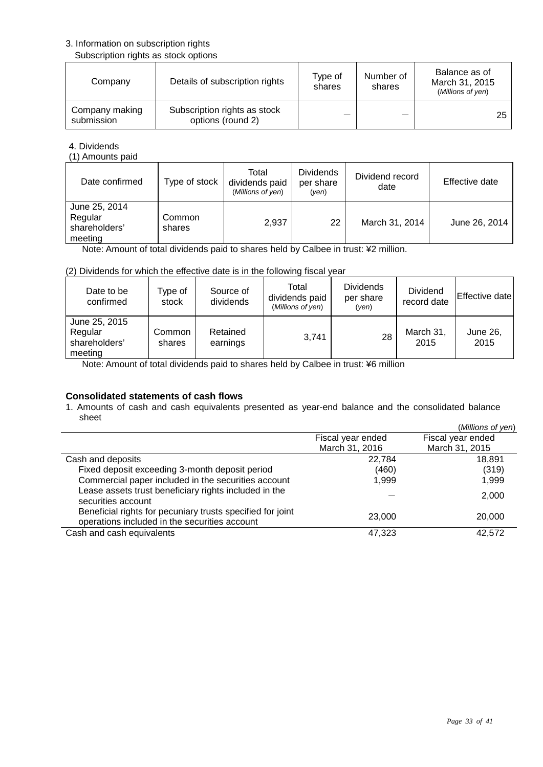#### 3. Information on subscription rights

#### Subscription rights as stock options

| Company                      | Details of subscription rights                    | Type of<br>shares | Number of<br>shares | Balance as of<br>March 31, 2015<br>(Millions of yen) |
|------------------------------|---------------------------------------------------|-------------------|---------------------|------------------------------------------------------|
| Company making<br>submission | Subscription rights as stock<br>options (round 2) |                   |                     | 25                                                   |

4. Dividends

(1) Amounts paid

| Date confirmed                                       | Type of stock    | Total<br>dividends paid<br>(Millions of yen) | <b>Dividends</b><br>per share<br>(ven) | Dividend record<br>date | Effective date |
|------------------------------------------------------|------------------|----------------------------------------------|----------------------------------------|-------------------------|----------------|
| June 25, 2014<br>Regular<br>shareholders'<br>meeting | Common<br>shares | 2,937                                        | 22                                     | March 31, 2014          | June 26, 2014  |

Note: Amount of total dividends paid to shares held by Calbee in trust: ¥2 million.

#### (2) Dividends for which the effective date is in the following fiscal year

| Date to be<br>confirmed                              | Type of<br>stock | Source of<br>dividends | Total<br>dividends paid<br>(Millions of yen) | <b>Dividends</b><br>per share<br>(ven) | <b>Dividend</b><br>record date | Effective date   |
|------------------------------------------------------|------------------|------------------------|----------------------------------------------|----------------------------------------|--------------------------------|------------------|
| June 25, 2015<br>Regular<br>shareholders'<br>meeting | Common<br>shares | Retained<br>earnings   | 3,741                                        | 28                                     | March 31,<br>2015              | June 26,<br>2015 |

Note: Amount of total dividends paid to shares held by Calbee in trust: ¥6 million

## **Consolidated statements of cash flows**

1. Amounts of cash and cash equivalents presented as year-end balance and the consolidated balance sheet

|                                                                                                             |                   | (Millions of yen) |
|-------------------------------------------------------------------------------------------------------------|-------------------|-------------------|
|                                                                                                             | Fiscal year ended | Fiscal year ended |
|                                                                                                             | March 31, 2016    | March 31, 2015    |
| Cash and deposits                                                                                           | 22,784            | 18,891            |
| Fixed deposit exceeding 3-month deposit period                                                              | (460)             | (319)             |
| Commercial paper included in the securities account                                                         | 1.999             | 1.999             |
| Lease assets trust beneficiary rights included in the<br>securities account                                 |                   | 2,000             |
| Beneficial rights for pecuniary trusts specified for joint<br>operations included in the securities account | 23,000            | 20,000            |
| Cash and cash equivalents                                                                                   | 47,323            | 42,572            |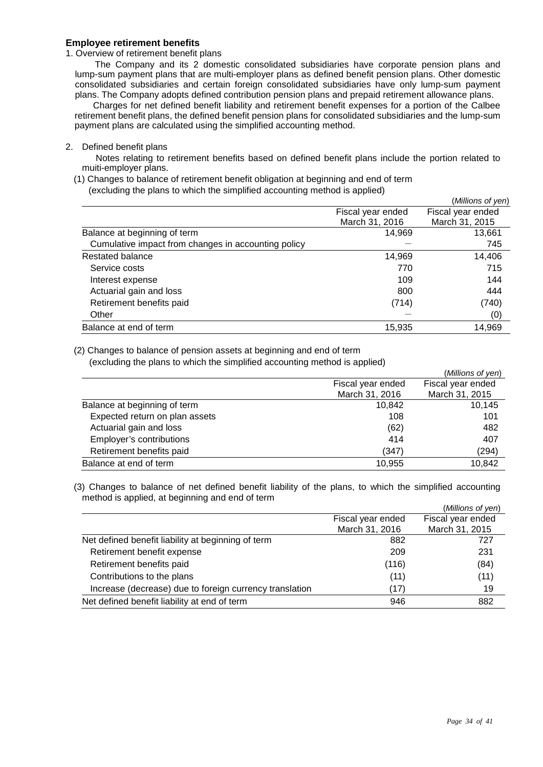#### **Employee retirement benefits**

#### 1. Overview of retirement benefit plans

 The Company and its 2 domestic consolidated subsidiaries have corporate pension plans and lump-sum payment plans that are multi-employer plans as defined benefit pension plans. Other domestic consolidated subsidiaries and certain foreign consolidated subsidiaries have only lump-sum payment plans. The Company adopts defined contribution pension plans and prepaid retirement allowance plans.

 Charges for net defined benefit liability and retirement benefit expenses for a portion of the Calbee retirement benefit plans, the defined benefit pension plans for consolidated subsidiaries and the lump-sum payment plans are calculated using the simplified accounting method.

2. Defined benefit plans

 Notes relating to retirement benefits based on defined benefit plans include the portion related to muiti-employer plans.

(1) Changes to balance of retirement benefit obligation at beginning and end of term (excluding the plans to which the simplified accounting method is applied)

|                | Fiscal year ended |
|----------------|-------------------|
| March 31, 2016 | March 31, 2015    |
| 14,969         | 13,661            |
|                | 745               |
| 14,969         | 14,406            |
| 770            | 715               |
| 109            | 144               |
| 800            | 444               |
| (714)          | (740)             |
|                | (0)               |
| 15,935         | 14,969            |
|                | Fiscal year ended |

(2) Changes to balance of pension assets at beginning and end of term

(excluding the plans to which the simplified accounting method is applied)

|                   | (Millions of yen) |
|-------------------|-------------------|
| Fiscal year ended | Fiscal year ended |
| March 31, 2016    | March 31, 2015    |
| 10.842            | 10.145            |
| 108               | 101               |
| (62)              | 482               |
| 414               | 407               |
| (347)             | (294)             |
| 10,955            | 10,842            |
|                   |                   |

(3) Changes to balance of net defined benefit liability of the plans, to which the simplified accounting method is applied, at beginning and end of term

|                                                         |                   | (Millions of yen) |
|---------------------------------------------------------|-------------------|-------------------|
|                                                         | Fiscal year ended | Fiscal year ended |
|                                                         | March 31, 2016    | March 31, 2015    |
| Net defined benefit liability at beginning of term      | 882               | 727               |
| Retirement benefit expense                              | 209               | 231               |
| Retirement benefits paid                                | (116)             | (84)              |
| Contributions to the plans                              | (11)              | (11)              |
| Increase (decrease) due to foreign currency translation | (17)              | 19                |
| Net defined benefit liability at end of term            | 946               | 882               |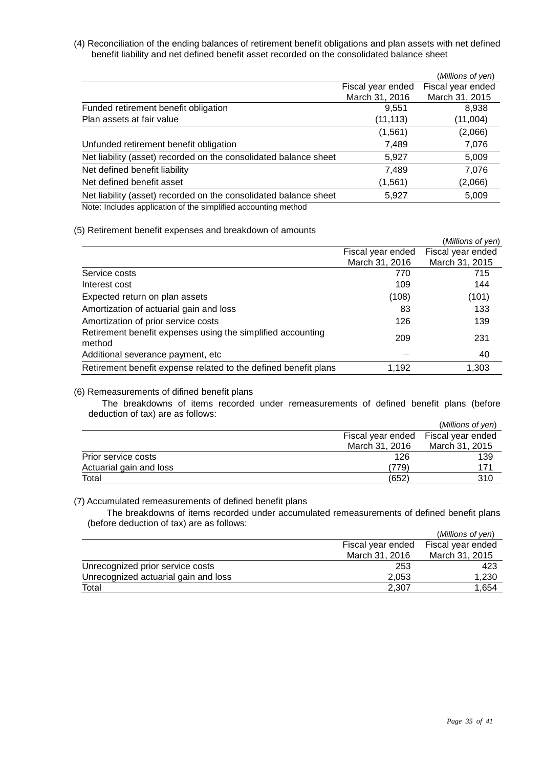(4) Reconciliation of the ending balances of retirement benefit obligations and plan assets with net defined benefit liability and net defined benefit asset recorded on the consolidated balance sheet

|                                                                  |                   | (Millions of yen) |
|------------------------------------------------------------------|-------------------|-------------------|
|                                                                  | Fiscal year ended | Fiscal year ended |
|                                                                  | March 31, 2016    | March 31, 2015    |
| Funded retirement benefit obligation                             | 9,551             | 8.938             |
| Plan assets at fair value                                        | (11, 113)         | (11,004)          |
|                                                                  | (1, 561)          | (2,066)           |
| Unfunded retirement benefit obligation                           | 7,489             | 7,076             |
| Net liability (asset) recorded on the consolidated balance sheet | 5,927             | 5,009             |
| Net defined benefit liability                                    | 7,489             | 7,076             |
| Net defined benefit asset                                        | (1, 561)          | (2,066)           |
| Net liability (asset) recorded on the consolidated balance sheet | 5,927             | 5,009             |
| Note lealider configation of the cimplified coopunting mothed    |                   |                   |

Note: Includes application of the simplified accounting method

#### (5) Retirement benefit expenses and breakdown of amounts

|                                                                       |                   | (Millions of yen) |
|-----------------------------------------------------------------------|-------------------|-------------------|
|                                                                       | Fiscal year ended | Fiscal year ended |
|                                                                       | March 31, 2016    | March 31, 2015    |
| Service costs                                                         | 770               | 715               |
| Interest cost                                                         | 109               | 144               |
| Expected return on plan assets                                        | (108)             | (101)             |
| Amortization of actuarial gain and loss                               | 83                | 133               |
| Amortization of prior service costs                                   | 126               | 139               |
| Retirement benefit expenses using the simplified accounting<br>method | 209               | 231               |
| Additional severance payment, etc                                     |                   | 40                |
| Retirement benefit expense related to the defined benefit plans       | 1,192             | 1,303             |

#### (6) Remeasurements of difined benefit plans

The breakdowns of items recorded under remeasurements of defined benefit plans (before deduction of tax) are as follows:

|                         |                   | (Millions of yen) |
|-------------------------|-------------------|-------------------|
|                         | Fiscal year ended | Fiscal year ended |
|                         | March 31, 2016    | March 31, 2015    |
| Prior service costs     | 126               | 139               |
| Actuarial gain and loss | (779)             | 171               |
| Total                   | (652)             | 310               |

#### (7) Accumulated remeasurements of defined benefit plans

The breakdowns of items recorded under accumulated remeasurements of defined benefit plans (before deduction of tax) are as follows:

|                                      |                   | (Millions of yen) |
|--------------------------------------|-------------------|-------------------|
|                                      | Fiscal year ended | Fiscal year ended |
|                                      | March 31, 2016    | March 31, 2015    |
| Unrecognized prior service costs     | 253               | 423               |
| Unrecognized actuarial gain and loss | 2.053             | 1,230             |
| Total                                | 2,307             | 1.654             |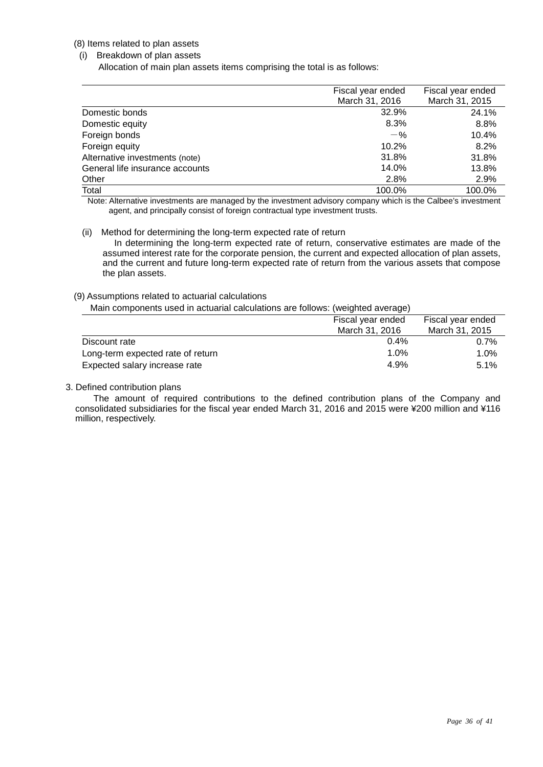#### (8) Items related to plan assets

#### (i) Breakdown of plan assets

Allocation of main plan assets items comprising the total is as follows:

|                                 | Fiscal year ended | Fiscal year ended |
|---------------------------------|-------------------|-------------------|
|                                 | March 31, 2016    | March 31, 2015    |
| Domestic bonds                  | 32.9%             | 24.1%             |
| Domestic equity                 | 8.3%              | 8.8%              |
| Foreign bonds                   | $-$ %             | 10.4%             |
| Foreign equity                  | 10.2%             | 8.2%              |
| Alternative investments (note)  | 31.8%             | 31.8%             |
| General life insurance accounts | 14.0%             | 13.8%             |
| Other                           | 2.8%              | 2.9%              |
| Total                           | 100.0%            | 100.0%            |

Note: Alternative investments are managed by the investment advisory company which is the Calbee's investment agent, and principally consist of foreign contractual type investment trusts.

#### (ii) Method for determining the long-term expected rate of return

In determining the long-term expected rate of return, conservative estimates are made of the assumed interest rate for the corporate pension, the current and expected allocation of plan assets, and the current and future long-term expected rate of return from the various assets that compose the plan assets.

#### (9) Assumptions related to actuarial calculations

Main components used in actuarial calculations are follows: (weighted average)

|                                   | Fiscal year ended | Fiscal year ended |
|-----------------------------------|-------------------|-------------------|
|                                   | March 31, 2016    | March 31, 2015    |
| Discount rate                     | 0.4%              | 0.7%              |
| Long-term expected rate of return | 1.0%              | $1.0\%$           |
| Expected salary increase rate     | 4.9%              | 5.1%              |

#### 3. Defined contribution plans

The amount of required contributions to the defined contribution plans of the Company and consolidated subsidiaries for the fiscal year ended March 31, 2016 and 2015 were ¥200 million and ¥116 million, respectively.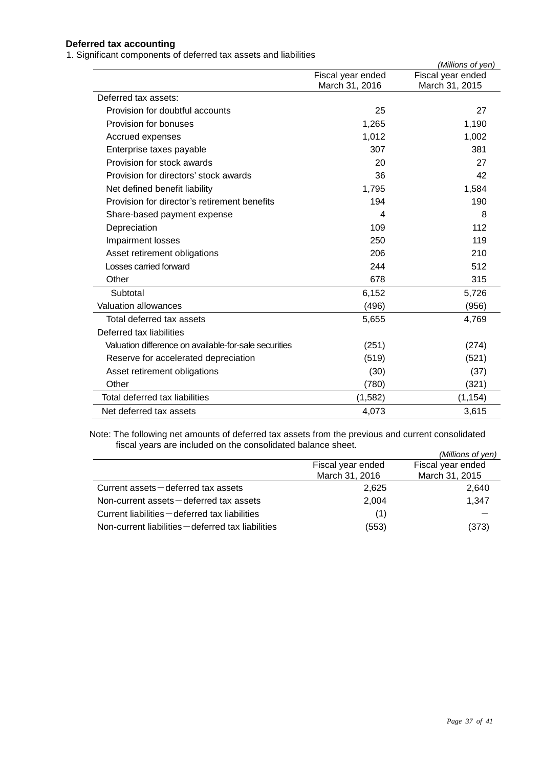## **Deferred tax accounting**

1. Significant components of deferred tax assets and liabilities

|                                                       |                   | (Millions of yen) |
|-------------------------------------------------------|-------------------|-------------------|
|                                                       | Fiscal year ended | Fiscal year ended |
|                                                       | March 31, 2016    | March 31, 2015    |
| Deferred tax assets:                                  |                   |                   |
| Provision for doubtful accounts                       | 25                | 27                |
| Provision for bonuses                                 | 1,265             | 1,190             |
| Accrued expenses                                      | 1,012             | 1,002             |
| Enterprise taxes payable                              | 307               | 381               |
| Provision for stock awards                            | 20                | 27                |
| Provision for directors' stock awards                 | 36                | 42                |
| Net defined benefit liability                         | 1,795             | 1,584             |
| Provision for director's retirement benefits          | 194               | 190               |
| Share-based payment expense                           | $\overline{4}$    | 8                 |
| Depreciation                                          | 109               | 112               |
| Impairment losses                                     | 250               | 119               |
| Asset retirement obligations                          | 206               | 210               |
| Losses carried forward                                | 244               | 512               |
| Other                                                 | 678               | 315               |
| Subtotal                                              | 6,152             | 5,726             |
| <b>Valuation allowances</b>                           | (496)             | (956)             |
| Total deferred tax assets                             | 5,655             | 4,769             |
| Deferred tax liabilities                              |                   |                   |
| Valuation difference on available-for-sale securities | (251)             | (274)             |
| Reserve for accelerated depreciation                  | (519)             | (521)             |
| Asset retirement obligations                          | (30)              | (37)              |
| Other                                                 | (780)             | (321)             |
| Total deferred tax liabilities                        | (1, 582)          | (1, 154)          |
| Net deferred tax assets                               | 4,073             | 3,615             |
|                                                       |                   |                   |

Note: The following net amounts of deferred tax assets from the previous and current consolidated fiscal years are included on the consolidated balance sheet.

|                                                    |                   | (Millions of yen) |
|----------------------------------------------------|-------------------|-------------------|
|                                                    | Fiscal year ended | Fiscal year ended |
|                                                    | March 31, 2016    | March 31, 2015    |
| Current assets $-\theta$ deferred tax assets       | 2,625             | 2,640             |
| Non-current $asserts$ -deferred tax assets         | 2.004             | 1.347             |
| Current liabilities – deferred tax liabilities     | (1)               |                   |
| Non-current liabilities – deferred tax liabilities | (553)             | (373)             |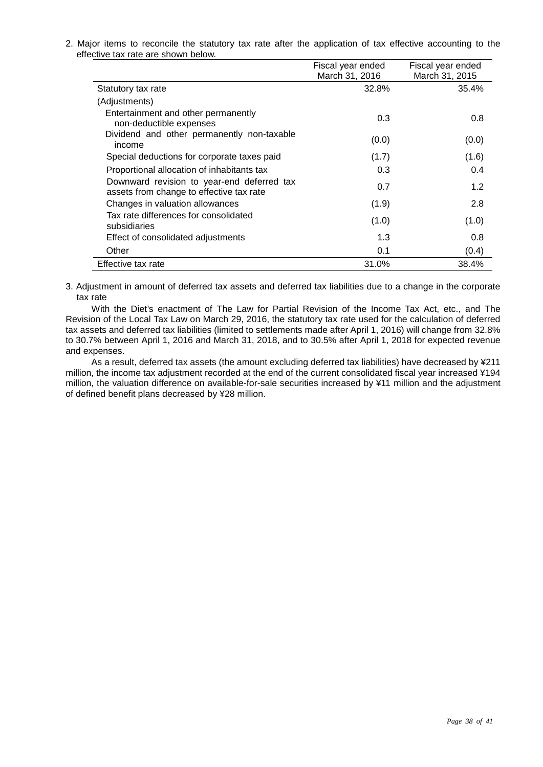2. Major items to reconcile the statutory tax rate after the application of tax effective accounting to the effective tax rate are shown below.

|                                                                                        | Fiscal year ended<br>March 31, 2016 | Fiscal year ended<br>March 31, 2015 |
|----------------------------------------------------------------------------------------|-------------------------------------|-------------------------------------|
| Statutory tax rate                                                                     | 32.8%                               | 35.4%                               |
| (Adjustments)                                                                          |                                     |                                     |
| Entertainment and other permanently<br>non-deductible expenses                         | 0.3                                 | 0.8                                 |
| Dividend and other permanently non-taxable<br>income                                   | (0.0)                               | (0.0)                               |
| Special deductions for corporate taxes paid                                            | (1.7)                               | (1.6)                               |
| Proportional allocation of inhabitants tax                                             | 0.3                                 | 0.4                                 |
| Downward revision to year-end deferred tax<br>assets from change to effective tax rate | 0.7                                 | 1.2                                 |
| Changes in valuation allowances                                                        | (1.9)                               | 2.8                                 |
| Tax rate differences for consolidated<br>subsidiaries                                  | (1.0)                               | (1.0)                               |
| Effect of consolidated adjustments                                                     | 1.3                                 | 0.8                                 |
| Other                                                                                  | 0.1                                 | (0.4)                               |
| Effective tax rate                                                                     | 31.0%                               | 38.4%                               |

3. Adjustment in amount of deferred tax assets and deferred tax liabilities due to a change in the corporate tax rate

With the Diet's enactment of The Law for Partial Revision of the Income Tax Act, etc., and The Revision of the Local Tax Law on March 29, 2016, the statutory tax rate used for the calculation of deferred tax assets and deferred tax liabilities (limited to settlements made after April 1, 2016) will change from 32.8% to 30.7% between April 1, 2016 and March 31, 2018, and to 30.5% after April 1, 2018 for expected revenue and expenses.

As a result, deferred tax assets (the amount excluding deferred tax liabilities) have decreased by ¥211 million, the income tax adjustment recorded at the end of the current consolidated fiscal year increased ¥194 million, the valuation difference on available-for-sale securities increased by ¥11 million and the adjustment of defined benefit plans decreased by ¥28 million.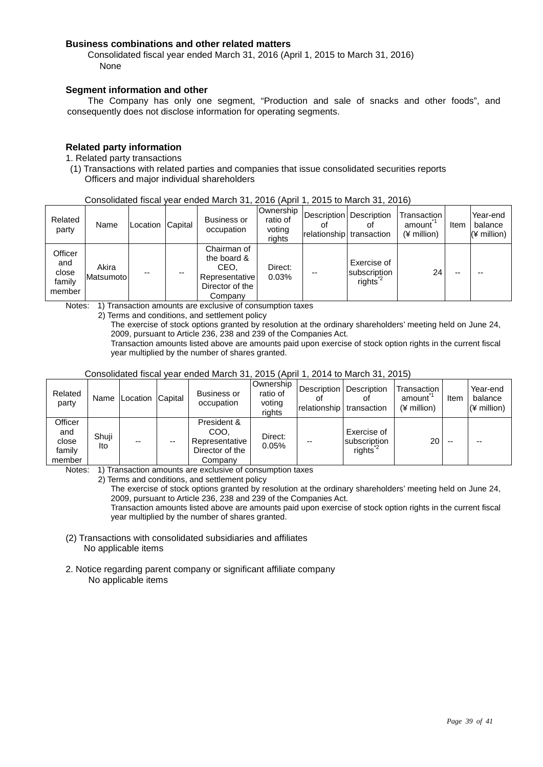#### **Business combinations and other related matters**

Consolidated fiscal year ended March 31, 2016 (April 1, 2015 to March 31, 2016) None

#### **Segment information and other**

The Company has only one segment, "Production and sale of snacks and other foods", and consequently does not disclose information for operating segments.

#### **Related party information**

1. Related party transactions

(1) Transactions with related parties and companies that issue consolidated securities reports Officers and major individual shareholders

| Consolidated fiscal year ended March 31, 2016 (April 1, 2015 to March 31, 2016) |  |  |  |  |
|---------------------------------------------------------------------------------|--|--|--|--|
|                                                                                 |  |  |  |  |

| Related<br>party                            | Name                | Location | Capital | <b>Business or</b><br>occupation                                                   | Ownership<br>ratio of<br>voting<br>rights | Οt | Description   Description<br>Οt<br>relationship transaction | I Transaction<br>amount<br>$(*)$ million) | Item | Year-end<br>balance<br>$(*$ million) |
|---------------------------------------------|---------------------|----------|---------|------------------------------------------------------------------------------------|-------------------------------------------|----|-------------------------------------------------------------|-------------------------------------------|------|--------------------------------------|
| Officer<br>and<br>close<br>family<br>member | Akira<br>Matsumotol | --       | --      | Chairman of<br>the board &<br>CEO.<br>Representative<br>Director of the<br>Company | Direct:<br>0.03%                          |    | Exercise of<br>subscription<br>rights <sup>2</sup>          | 24                                        | --   |                                      |

Notes: 1) Transaction amounts are exclusive of consumption taxes

2) Terms and conditions, and settlement policy

The exercise of stock options granted by resolution at the ordinary shareholders' meeting held on June 24, 2009, pursuant to Article 236, 238 and 239 of the Companies Act.

Transaction amounts listed above are amounts paid upon exercise of stock option rights in the current fiscal year multiplied by the number of shares granted.

| Related<br>party                            | Name         | Location Capital |    | <b>Business or</b><br>occupation                                    | Ownership<br>ratio of<br>voting<br>rights | relationship | Description Description<br>οt<br>transaction       | Transaction<br>amount<br>$(*)$ million) | Item | Year-end<br>balance<br>$(*$ million) |
|---------------------------------------------|--------------|------------------|----|---------------------------------------------------------------------|-------------------------------------------|--------------|----------------------------------------------------|-----------------------------------------|------|--------------------------------------|
| Officer<br>and<br>close<br>family<br>member | Shuji<br>Ito | $- -$            | -- | President &<br>COO.<br>Representative<br>Director of the<br>Company | Direct:<br>0.05%                          | --           | Exercise of<br>subscription<br>rights <sup>4</sup> | 20                                      |      | --                                   |

#### Consolidated fiscal year ended March 31, 2015 (April 1, 2014 to March 31, 2015)

Notes: 1) Transaction amounts are exclusive of consumption taxes

2) Terms and conditions, and settlement policy

The exercise of stock options granted by resolution at the ordinary shareholders' meeting held on June 24, 2009, pursuant to Article 236, 238 and 239 of the Companies Act.

Transaction amounts listed above are amounts paid upon exercise of stock option rights in the current fiscal year multiplied by the number of shares granted.

- (2) Transactions with consolidated subsidiaries and affiliates No applicable items
- 2. Notice regarding parent company or significant affiliate company No applicable items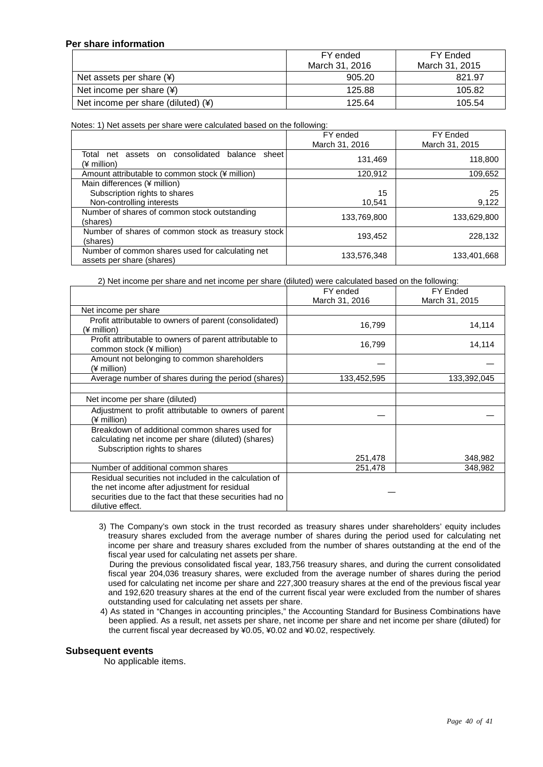#### **Per share information**

|                                      | FY ended       | FY Ended       |
|--------------------------------------|----------------|----------------|
|                                      | March 31, 2016 | March 31, 2015 |
| Net assets per share $(*)$           | 905.20         | 821.97         |
| Net income per share $(*)$           | 125.88         | 105.82         |
| Net income per share (diluted) $(*)$ | 125.64         | 105.54         |

Notes: 1) Net assets per share were calculated based on the following:

|                                                                               | FY ended       | <b>FY Ended</b> |
|-------------------------------------------------------------------------------|----------------|-----------------|
|                                                                               | March 31, 2016 | March 31, 2015  |
| consolidated<br>Total net<br>assets on<br>balance<br>sheet<br>(¥ million)     | 131,469        | 118,800         |
| Amount attributable to common stock (¥ million)                               | 120,912        | 109,652         |
| Main differences (¥ million)                                                  |                |                 |
| Subscription rights to shares                                                 | 15             | 25              |
| Non-controlling interests                                                     | 10.541         | 9,122           |
| Number of shares of common stock outstanding<br>(shares)                      | 133,769,800    | 133,629,800     |
| Number of shares of common stock as treasury stock<br>(shares)                | 193,452        | 228,132         |
| Number of common shares used for calculating net<br>assets per share (shares) | 133,576,348    | 133,401,668     |

2) Net income per share and net income per share (diluted) were calculated based on the following:

|                                                                                                                                                                                       | FY ended       | <b>FY Ended</b> |
|---------------------------------------------------------------------------------------------------------------------------------------------------------------------------------------|----------------|-----------------|
|                                                                                                                                                                                       | March 31, 2016 | March 31, 2015  |
| Net income per share                                                                                                                                                                  |                |                 |
| Profit attributable to owners of parent (consolidated)<br>(¥ million)                                                                                                                 | 16,799         | 14,114          |
| Profit attributable to owners of parent attributable to<br>common stock (¥ million)                                                                                                   | 16,799         | 14,114          |
| Amount not belonging to common shareholders<br>(¥ million)                                                                                                                            |                |                 |
| Average number of shares during the period (shares)                                                                                                                                   | 133,452,595    | 133,392,045     |
|                                                                                                                                                                                       |                |                 |
| Net income per share (diluted)                                                                                                                                                        |                |                 |
| Adjustment to profit attributable to owners of parent<br>(¥ million)                                                                                                                  |                |                 |
| Breakdown of additional common shares used for<br>calculating net income per share (diluted) (shares)<br>Subscription rights to shares                                                |                |                 |
|                                                                                                                                                                                       | 251,478        | 348,982         |
| Number of additional common shares                                                                                                                                                    | 251,478        | 348,982         |
| Residual securities not included in the calculation of<br>the net income after adjustment for residual<br>securities due to the fact that these securities had no<br>dilutive effect. |                |                 |

3) The Company's own stock in the trust recorded as treasury shares under shareholders' equity includes treasury shares excluded from the average number of shares during the period used for calculating net income per share and treasury shares excluded from the number of shares outstanding at the end of the fiscal year used for calculating net assets per share.

During the previous consolidated fiscal year, 183,756 treasury shares, and during the current consolidated fiscal year 204,036 treasury shares, were excluded from the average number of shares during the period used for calculating net income per share and 227,300 treasury shares at the end of the previous fiscal year and 192,620 treasury shares at the end of the current fiscal year were excluded from the number of shares outstanding used for calculating net assets per share.

4) As stated in "Changes in accounting principles," the Accounting Standard for Business Combinations have been applied. As a result, net assets per share, net income per share and net income per share (diluted) for the current fiscal year decreased by ¥0.05, ¥0.02 and ¥0.02, respectively.

#### **Subsequent events**

No applicable items.